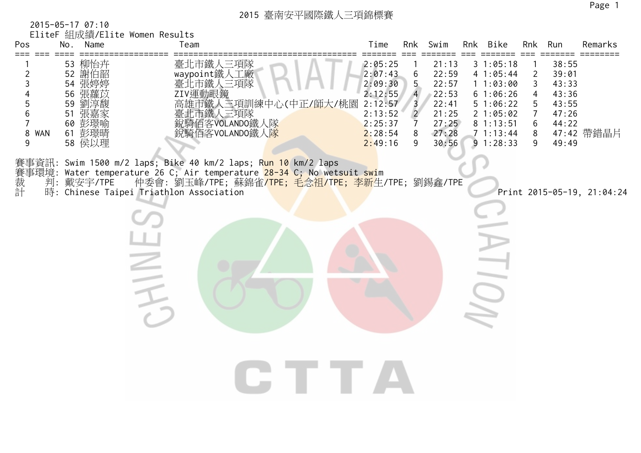2015-05-17 07:10 EliteF 組成績/Elite Women Results

| Pos<br>=== ===                      | MILIANS LITTLE MOMENT RESULT<br>No. Name                                               |                                                                                                                        | Team                                            |  |                                                                                                                                                        | Time                                                                                            | Rnk                                                       | Swim                                                                          | Rnk Bike                                                                                                 | Rnk                                          | Run                                                                  | Remarks<br>=======         |
|-------------------------------------|----------------------------------------------------------------------------------------|------------------------------------------------------------------------------------------------------------------------|-------------------------------------------------|--|--------------------------------------------------------------------------------------------------------------------------------------------------------|-------------------------------------------------------------------------------------------------|-----------------------------------------------------------|-------------------------------------------------------------------------------|----------------------------------------------------------------------------------------------------------|----------------------------------------------|----------------------------------------------------------------------|----------------------------|
| 2<br>3<br>5<br>6<br>7<br>8 WAN<br>9 | 53 柳怡卉<br>52 謝伯韶<br>54 張婷婷<br>56 張蘿苡<br>59 劉淳馥<br>51 張嘉家<br>60 彭璟喻<br>61 彭璟晴<br>58 侯以理 |                                                                                                                        | 臺北市鐵人三項隊<br>waypoint鐵人工廠<br>臺北市鐵人三項隊<br>ZIV運動眼鏡 |  | 二海市鐵人三項訓練中心(中正/師大/桃園臺北市鐵人三項隊<br>臺北市鐵人三項隊<br>銳騎佰客VOLANDO鐵人隊<br>銳騎佰客VOLANDO鐵人隊                                                                           | 2:05:25<br>2:07:43<br>2:09:30<br>2:12:55<br>2:12:57<br>2:13:52<br>2:25:37<br>2:28:54<br>2:49:16 | 6<br>5<br>$\overline{4}$<br>3<br>$\overline{2}$<br>8<br>9 | 21:13<br>22:59<br>22:57<br>22:53<br>22:41<br>21:25<br>27:25<br>27:28<br>30:56 | 31:05:18<br>41:05:44<br>11:03:00<br>61:06:26<br>51:06:22<br>21:05:02<br>81:13:51<br>71:13:44<br>91:28:33 | $\overline{2}$<br>3<br>4<br>5<br>6<br>8<br>9 | 38:55<br>39:01<br>43:33<br>43:36<br>43:55<br>47:26<br>44:22<br>49:49 | 47:42 帶錯晶片                 |
| 裁計                                  | 判:戴安宇/TPE                                                                              | 賽事資訊: Swim 1500 m/2 laps; Bike 40 km/2 laps; R <mark>un 10</mark> km/2 laps<br>時: Chinese Taipei Triathlon Association |                                                 |  | 事環境: Water temperature 26 C; Air temperature <mark>28-34 C; No wetsuit swi</mark> m<br>仲委會: 劉玉峰/TPE; 蘇錦雀 <mark>/TPE; 毛念祖/TPE; 李新</mark> 生/TPE; 劉錫鑫/TPE |                                                                                                 |                                                           |                                                                               | IO)                                                                                                      |                                              |                                                                      | Print 2015-05-19, 21:04:24 |
|                                     |                                                                                        |                                                                                                                        |                                                 |  |                                                                                                                                                        |                                                                                                 |                                                           |                                                                               |                                                                                                          |                                              |                                                                      |                            |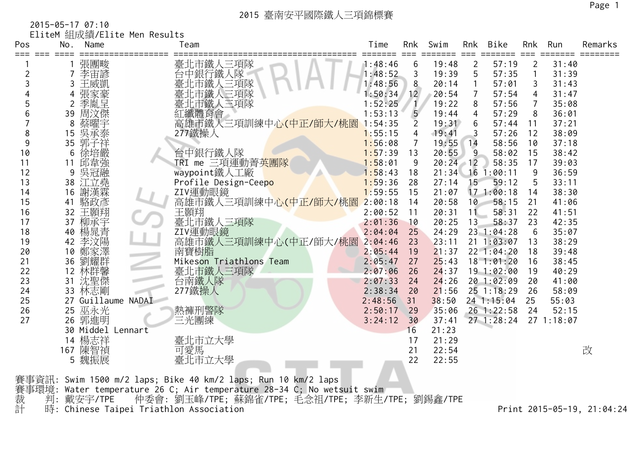2015-05-17 07:10 EliteM 組成績/Elite Men Results

| Pos                 | No.             | Name               | Team                                                                                                                                                                            | Time    | Rnk            | Swim  | Rnk            | Bike           | Rnk            | Run        | Remarks |
|---------------------|-----------------|--------------------|---------------------------------------------------------------------------------------------------------------------------------------------------------------------------------|---------|----------------|-------|----------------|----------------|----------------|------------|---------|
|                     |                 | 張團畯                | 臺北市鐵人三項隊                                                                                                                                                                        | 1:48:46 | 6              | 19:48 | 2              | 57:19          | $\overline{2}$ | 31:40      |         |
| $\overline{2}$      | 7               | 李宙諺                | 台中銀行鐵人隊                                                                                                                                                                         | 1:48:52 | 3              | 19:39 | 5              | 57:35          | $\mathbf{1}$   | 31:39      |         |
| 3                   | 3               | 王威凱                | :市鐵人三項隊                                                                                                                                                                         | 1:48:56 | 8              | 20:14 |                | 57:01          | 3              | 31:43      |         |
|                     | 4               | 張家豪<br>季胤呈         | :市鐵人三項隊                                                                                                                                                                         | 1:50:34 | 12             | 20:54 | $\overline{7}$ | 57:54          | $\overline{4}$ | 31:47      |         |
| 5                   | 2               |                    | 臺北市鐵人三項隊<br>紅纖體育會                                                                                                                                                               | 1:52:25 |                | 19:22 | 8              | 57:56          | $\overline{7}$ | 35:08      |         |
| 6                   | 39              | 周汶傑                |                                                                                                                                                                                 | 1:53:13 | 5              | 19:44 | $\overline{4}$ | 57:29          | 8              | 36:01      |         |
|                     | 8               | 蔡曜宇                | 高雄市鐵人三項訓練中心(中正/師大/桃園                                                                                                                                                            | 1:54:35 |                | 19:31 | 6              | 57:44          | 11             | 37:21      |         |
| 8                   | 15              | 吳承泰                | 277鐵操人                                                                                                                                                                          | 1:55:15 | 4              | 19:41 | 3              | 57:26          | 12             | 38:09      |         |
| 9                   | 35              | 郭子祥                |                                                                                                                                                                                 | 1:56:08 | $\overline{7}$ | 19:55 | 14             | 58:56          | 10             | 37:18      |         |
| 10                  | 6               | 徐培嚴                | 台中銀行鐵人隊                                                                                                                                                                         | 1:57:39 | 13             | 20:55 | 9              | 58:02          | 15             | 38:42      |         |
| 11                  | 11              | 邱韋強                | TRI me 三項運動菁英團隊                                                                                                                                                                 | 1:58:01 | 9              | 20:24 | $-12$          | 58:35          | 17             | 39:03      |         |
| 12                  | 9               | 吳冠融                | waypoint鐵人工廠                                                                                                                                                                    | 1:58:43 | 18             | 21:34 |                | $16$ 1:00:11   | 9              | 36:59      |         |
| 13                  |                 | 38 江立堯             | Profile Design-Ceepo                                                                                                                                                            | 1:59:36 | 28             | 27:14 | 15             | 59:12          | 5              | 33:11      |         |
| 14                  | 16              | 謝漢霖                | ZIV運動眼鏡                                                                                                                                                                         | 1:59:55 | 15             | 21:07 |                | 17 1:00:18     | 14             | 38:30      |         |
| 15                  | 41              | 駱政彥                | 高雄市鐵人三項訓練中心(中正/師大/桃園                                                                                                                                                            | 2:00:18 | 14             | 20:58 | 10             | 58:15          | 21             | 41:06      |         |
| 16                  | 32 <sup>2</sup> | 王顥翔                | 王顥翔                                                                                                                                                                             | 2:00:52 | 11             | 20:31 | 11             | 58:31          | 22             | 41:51      |         |
| 17                  | 37              | 柳承宇                | 臺北市鐵人三項隊                                                                                                                                                                        | 2:01:36 | 10             | 20:25 | 13             | 58:37          | 23             | 42:35      |         |
| 18                  | 40              | 楊晁青                | ZIV運動眼鏡                                                                                                                                                                         | 2:04:04 | 25             | 24:29 |                | 23 1:04:28     | 6              | 35:07      |         |
| 19                  | 42              | 李汶陽                | 高雄市鐵人三項訓練中心(中正/師大/桃園                                                                                                                                                            | 2:04:46 | 23             | 23:11 |                | $21 \t1:03:07$ | 13             | 38:29      |         |
| 20                  | 10              | 鄭家澤                | 南寶樹脂                                                                                                                                                                            | 2:05:44 | 19             | 21:37 |                | 22 1:04:20     | 18             | 39:48      |         |
| 21                  | 36              | 劉耀群                | Mikeson Triathlons Team                                                                                                                                                         | 2:05:47 | 27             | 25:43 |                | $18$ $1:01:20$ | 16             | 38:45      |         |
| 22                  | 12              | 林群馨                | 臺北市鐵人三項隊                                                                                                                                                                        | 2:07:06 | 26             | 24:37 |                | 19 1:02:00     | 19             | 40:29      |         |
| 23                  | 31              | 沈聖傑                | 台南鐵人隊                                                                                                                                                                           | 2:07:33 | 24             | 24:26 |                | 20 1:02:09     | 20             | 41:00      |         |
| 24                  |                 | 33 林志剛             | 277鐵操人                                                                                                                                                                          | 2:38:34 | 20             | 21:56 |                | $25$ 1:18:29   | 26             | 58:09      |         |
| 25                  |                 | 27 Guillaume NADAI |                                                                                                                                                                                 | 2:48:56 | 31             | 38:50 |                | 24 1:15:04     | 25             | 55:03      |         |
| 26                  | 25              | 巫永光                | 熱褲刑警隊                                                                                                                                                                           | 2:50:17 | 29             | 35:06 |                | 26 1:22:58     | 24             | 52:15      |         |
| 27                  |                 | 26 郭進明             | 三光團練                                                                                                                                                                            | 3:24:12 | 30             | 37:41 |                | $27$ 1:28:24   |                | 27 1:18:07 |         |
|                     |                 | 30 Middel Lennart  |                                                                                                                                                                                 |         | 16             | 21:23 |                |                |                |            |         |
|                     | 14              | 楊志祥                | 臺北市立大學                                                                                                                                                                          |         | 17             | 21:29 |                |                |                |            |         |
|                     |                 | 167 陳智禎            | 可愛馬                                                                                                                                                                             |         | 21             | 22:54 |                |                |                |            | 改       |
|                     |                 | 5 魏振展              | 臺北市立大學                                                                                                                                                                          |         | 22             | 22:55 |                |                |                |            |         |
| 賽事資訊:<br>賽事環境:<br>裁 | 判:              | 戴安宇/TPE            | Swim 1500 m/2 laps; Bike 40 km/2 laps; Run 10 km/2 laps<br>Water temperature 26 C; Air temperature 28-34 C; No wetsuit swim<br>仲委會: 劉玉峰/TPE; 蘇錦雀/TPE; 毛念祖/TPE; 李新生/TPE; 劉錫鑫/TPE |         |                |       |                |                |                |            |         |

計 時: Chinese Taipei Triathlon Association 2015-05-19, 21:04:24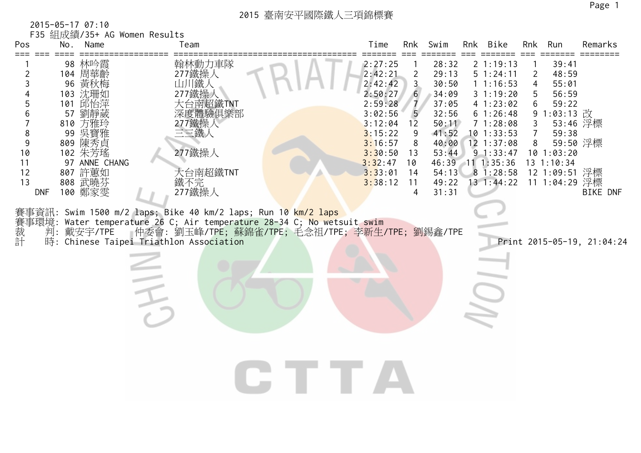2015-05-17 07:10 F35 組成績/35+ AG Women Results

| Pos                                                                        |    | No. Name                                                                                                                                                           | Team                                                                                                                                                                                                                                                                                                                                                 |  | Time                                                                                                                                        | Rnk                                                                                                | Swim                                                                                                              | Rnk Bike                                                                                                                                                                          | Rnk                                     | Run                                                                                                                                 | Remarks                                                               |
|----------------------------------------------------------------------------|----|--------------------------------------------------------------------------------------------------------------------------------------------------------------------|------------------------------------------------------------------------------------------------------------------------------------------------------------------------------------------------------------------------------------------------------------------------------------------------------------------------------------------------------|--|---------------------------------------------------------------------------------------------------------------------------------------------|----------------------------------------------------------------------------------------------------|-------------------------------------------------------------------------------------------------------------------|-----------------------------------------------------------------------------------------------------------------------------------------------------------------------------------|-----------------------------------------|-------------------------------------------------------------------------------------------------------------------------------------|-----------------------------------------------------------------------|
| $===$<br>3<br>6<br>7<br>8<br>9<br>10<br>11<br>12<br>13<br><b>DNF</b><br>裁計 | 57 | 98 林吟霞<br>104 周華齡<br>96 黃秋梅<br>103 沈珊如<br>101 邱怡萍<br>劉靜葳<br>810 方雅玲<br>99 吳寶雅<br>809 陳秀貞<br>102 朱芳瑤<br>97 ANNE CHANG<br>807 許蕙如<br>808 武曉芬<br>100 鄭家雯<br>判:戴安宇/TPE | 翰林動力車隊<br>277鐵操人<br>山川鐵人<br>大台南超鐵TNT<br>深度體驗俱樂部<br>277鐵操人<br>三三鐵人<br>277鐵操人<br>大台南超鐵TNT<br>鐵不完<br>277鐵操人<br>賽事資訊: Swim 1500 m/2 laps; Bike 40 km/2 laps; Run 10 km/2 laps<br>賽事環境: Water temperature 26 C; Air temperature 28-34 C; No wetsuit swim<br>- 仲委會: 劉玉峰/TPE; 蘇錦雀/TPE; 毛念祖/TPE; 李新生/TPE; 劉錫鑫/TPE<br>時: Chinese Taipei Triathlon Association |  | 2:27:25<br>2:42:21<br>2:42:42<br>2:50:27<br>2:59:28<br>3:02:56<br>3:12:04<br>3:15:22<br>3:16:57<br>3:30:50<br>3:32:47<br>3:33:01<br>3:38:12 | $\overline{2}$<br>$\mathsf{3}$<br>6<br>$\overline{7}$<br>5<br>12<br>9<br>13<br>10<br>14<br>11<br>4 | 28:32<br>29:13<br>30:50<br>34:09<br>37:05<br>32:56<br>50:11<br>41:52<br>40:00<br>53:44<br>54:13<br>49:22<br>31:31 | 21:19:13<br>51:24:11<br>11:16:53<br>31:19:20<br>41:23:02<br>61:26:48<br>71:28:08<br>$10$ 1:33:53<br>$12$ $1:37:08$<br>9 1:33:47<br>46:39 11 1:35:36<br>81:28:58<br>$13 \t1:44:22$ | $\overline{2}$<br>4<br>5<br>6<br>3<br>8 | 39:41<br>48:59<br>55:01<br>56:59<br>59:22<br>9 1:03:13 改<br>59:38<br>$10$ $1:03:20$<br>13 1:10:34<br>12 1:09:51 浮標<br>11 1:04:29 浮標 | 53:46 浮標<br>59:50 浮標<br><b>BIKE DNF</b><br>Print 2015-05-19, 21:04:24 |
|                                                                            |    |                                                                                                                                                                    |                                                                                                                                                                                                                                                                                                                                                      |  |                                                                                                                                             |                                                                                                    |                                                                                                                   |                                                                                                                                                                                   |                                         |                                                                                                                                     |                                                                       |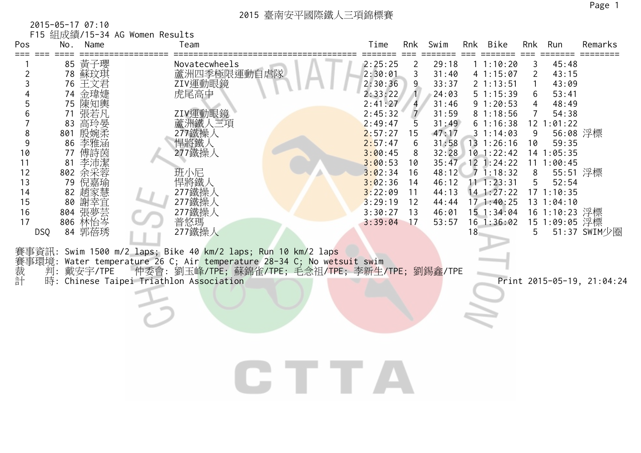| Pos<br>$==$                                                                                                                    |                                              | 2015-05-17 07:10<br>No. Name                                                                                                                                 | F15 組成績/15-34 AG Women Results | Team                                                                                                                                                           |                                                                                                                                                                                             | Time                                                                                                                                                                                         | Rnk                                                                                                                          | Swim                                                                                                                                |    | Rnk Bike                                                                                                                                                                                                                                      | Rnk                                             | Run                                                                                                                                                                                                         | Remarks                    |
|--------------------------------------------------------------------------------------------------------------------------------|----------------------------------------------|--------------------------------------------------------------------------------------------------------------------------------------------------------------|--------------------------------|----------------------------------------------------------------------------------------------------------------------------------------------------------------|---------------------------------------------------------------------------------------------------------------------------------------------------------------------------------------------|----------------------------------------------------------------------------------------------------------------------------------------------------------------------------------------------|------------------------------------------------------------------------------------------------------------------------------|-------------------------------------------------------------------------------------------------------------------------------------|----|-----------------------------------------------------------------------------------------------------------------------------------------------------------------------------------------------------------------------------------------------|-------------------------------------------------|-------------------------------------------------------------------------------------------------------------------------------------------------------------------------------------------------------------|----------------------------|
| 2<br>3<br>$\overline{4}$<br>5<br>6<br>$\overline{7}$<br>8<br>$9$<br>10<br>11<br>12<br>13<br>14<br>15<br>16<br>17<br><b>DSQ</b> | 74<br>71<br>83<br>77<br>81<br>79<br>82<br>80 | 85 黃子瓔<br>78 蘇玟琪<br>76 王文君<br>金瑋婕<br>75 陳知輿<br>張若凡<br>高玲晏<br>801 殷婉柔<br>86 李雅涵<br>傅詩茵<br>李沛潔<br>802 余采蓉<br>倪嘉瑜<br>趙家慧<br>謝幸宜<br>804 張夢芸<br>806 林怡岑<br>84 郭蓓琇 |                                | Novatecwheels<br>蘆洲四季極限運動自虐隊<br>ZIV運動眼鏡<br>虎尾高中<br>ZIV運動眼鏡<br>蘆洲鐵人三項<br>277鐵操人<br>悍將鐵人<br>277鐵操人<br>班小尼<br>悍將鐵人<br>277鐵操人<br>277鐵操人<br>277鐵操人<br>普悠瑪<br>277鐵操人 |                                                                                                                                                                                             | 2:25:25<br>2:30:01<br>2:30:36<br>2:33:22<br>2:41:27<br>2:45:32<br>2:49:47<br>2:57:27<br>2:57:47<br>3:00:45<br>3:00:53<br>3:02:34<br>3:02:36<br>3:22:09<br>3:29:19<br>3:30:27<br>$3:39:04$ 17 | 2<br>3<br>9<br>$\mathbf{1}$<br>$\overline{\mathbf{4}}$<br>$\overline{7}$<br>5<br>15<br>8<br>10<br>16<br>14<br>11<br>12<br>13 | 29:18<br>31:40<br>33:37<br>24:03<br>31:46<br>31:59<br>31:49<br>47:17<br>31:58<br>48:12<br>46:12<br>44:13<br>44:44<br>46:01<br>53:57 | 18 | 11:10:20<br>41:15:07<br>2 1:13:51<br>51:15:39<br>91:20:53<br>81:18:56<br>61:16:38<br>31:14:03<br>13 1:26:16<br>32:28 10 1:22:42<br>35:47 12 1:24:22<br>71:18:32<br>11 1:23:31<br>$14$ 1:27:22<br>$17 \t1:40:25$<br>15 1:34:04<br>$16$ 1:36:02 | 3<br>2<br>6<br>4<br>7<br>9<br>10<br>8<br>5<br>5 | 45:48<br>43:15<br>43:09<br>53:41<br>48:49<br>54:38<br>$12$ $1:01:22$<br>56:08 浮標<br>59:35<br>14 1:05:35<br>11 1:00:45<br>55:51 浮標<br>52:54<br>$17$ $1:10:35$<br>131:04:10<br>16 1:10:23 浮標<br>15 1:09:05 浮標 | 51:37 SWIM少圈               |
| 裁計                                                                                                                             | 判:                                           | 戴安宇/TPE                                                                                                                                                      |                                | 時: Chinese Taipei Triathlon Association                                                                                                                        | 賽事資訊: Swim 1500 m/2 laps; Bike 40 km/2 laps; Run 10 km/2 laps<br>賽事環境: Water temperature 26 C; Air temperature 28-34 C; No wetsuit swim<br>仲委會: 劉玉峰/TPE; 蘇錦雀/TPE; 毛念祖/TPE; 李新生/TPE; 劉錫鑫/TPE |                                                                                                                                                                                              |                                                                                                                              |                                                                                                                                     |    |                                                                                                                                                                                                                                               |                                                 |                                                                                                                                                                                                             | Print 2015-05-19, 21:04:24 |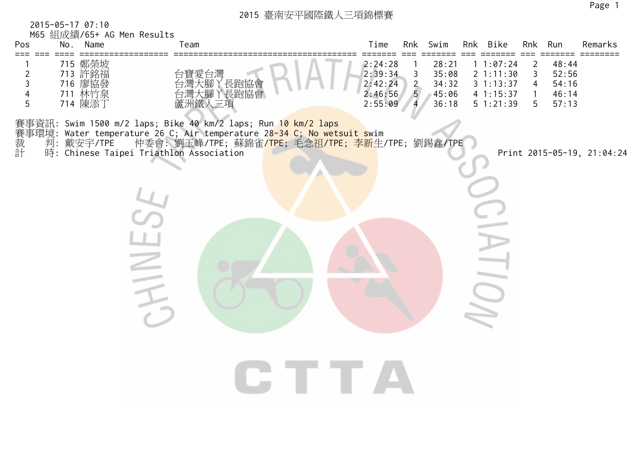2015-05-17 07:10 M65 組成績/65+ AG Men Results

| Pos<br>$==$                   | Mb5 紐成額/b5+ AG Men Results<br>No. Name             | Team                                                                                                                                                                                                                                                               | Time                                                |                                                 | Rnk Swim                                  | Rnk Bike                                                   |                                               | Rnk Run                                   | Remarks                    |
|-------------------------------|----------------------------------------------------|--------------------------------------------------------------------------------------------------------------------------------------------------------------------------------------------------------------------------------------------------------------------|-----------------------------------------------------|-------------------------------------------------|-------------------------------------------|------------------------------------------------------------|-----------------------------------------------|-------------------------------------------|----------------------------|
| $\overline{c}$<br>3<br>4<br>5 | 715 鄭榮坡<br>713 許銘海發泉<br>716 廖協發泉<br>711 林竹添<br>714 | 台寶愛台灣<br>台灣大腳丫長跑協會<br>台灣大腳丫長跑協會<br>蘆洲鐵人三項                                                                                                                                                                                                                          | 2:24:28<br>2:39:34<br>2:42:24<br>2:46:56<br>2:55:09 | $\mathsf 3$<br>$\overline{2}$<br>5 <sub>5</sub> | 28:21<br>35:08<br>34:32<br>45:06<br>36:18 | 1 1:07:24<br>2 1:11:30<br>31:13:37<br>41:15:37<br>51:21:39 | 2<br>3<br>$\overline{4}$<br>$\mathbf{1}$<br>5 | 48:44<br>52:56<br>54:16<br>46:14<br>57:13 |                            |
| 裁計                            | 判: 戴安宇/TPE                                         | 賽事資訊: Swim 1500 m/2 laps; Bike 40 km/2 laps; Run 10 km/2 laps<br>賽事環境: Water temperature 26 C; Air temperature 28-34 C; No wetsuit swim<br>仲委會: 劉玉峰/TPE; 蘇錦雀 <mark>/TPE;</mark> 毛念祖/TPE; <mark>李新</mark> 生/TPE; 劉錫鑫/TPE<br>時: Chinese Taipei Triathlon Association |                                                     |                                                 |                                           |                                                            |                                               |                                           | Print 2015-05-19, 21:04:24 |
|                               |                                                    |                                                                                                                                                                                                                                                                    |                                                     |                                                 |                                           | $\overline{a}$                                             |                                               |                                           |                            |
|                               |                                                    |                                                                                                                                                                                                                                                                    | I DE TER                                            |                                                 |                                           |                                                            |                                               |                                           |                            |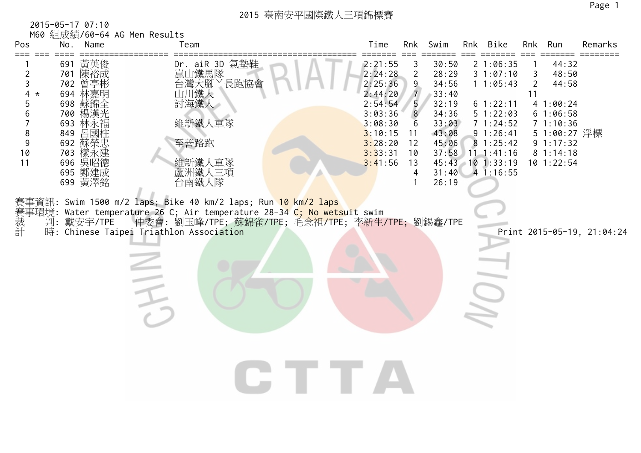| Pos                                                                                |     | 2015-05-17 07:10<br>No. Name                                                                                                            | M60 組成績/60-64 AG Men Results | Team                                                                                                                                                                                                                                                                                                                                                                                                                 |  | Time                                                                                                                  | Rnk                                                                                                 | Swim                                                                                            | Rnk Bike                                                                                                                                          | Rnk                       | Run                                                                                                                  | Remarks                    |
|------------------------------------------------------------------------------------|-----|-----------------------------------------------------------------------------------------------------------------------------------------|------------------------------|----------------------------------------------------------------------------------------------------------------------------------------------------------------------------------------------------------------------------------------------------------------------------------------------------------------------------------------------------------------------------------------------------------------------|--|-----------------------------------------------------------------------------------------------------------------------|-----------------------------------------------------------------------------------------------------|-------------------------------------------------------------------------------------------------|---------------------------------------------------------------------------------------------------------------------------------------------------|---------------------------|----------------------------------------------------------------------------------------------------------------------|----------------------------|
| 2<br>$\mathfrak{Z}$<br>$4 *$<br>5<br>$\,6$<br>$\overline{7}$<br>8<br>9<br>10<br>11 | 849 | 691 黃英俊<br>701 陳裕成<br>702 曾亭彬<br>694 林嘉明<br>698 蘇錦全<br>700 楊漢光<br>693 林永福<br>呂國柱<br>692 蘇榮忠<br>703 樣永建<br>696 吳昭德<br>695 鄭建成<br>699 黃澤銘 |                              | Dr. aiR 3D 氣墊鞋<br>崑山鐵馬隊<br>台灣大腳丫長跑協會<br>山川鐵人<br>討海鐵人<br>維新鐵人車隊<br>至善路跑<br>維新鐵人車隊<br>蘆洲鐵人三項<br>台南鐵人隊<br>賽事資訊: Swim 1500 m/2 laps; Bike 40 km/2 laps; Run <mark>10 km/2 laps</mark><br>賽事環境: Water temperature 26 C; Air temperature 28-34 C; No wetsuit swim<br>裁  判: 戴安宇/TPE  仲委會: 劉玉峰/TPE; 蘇錦雀/TPE; 毛念祖/TPE; 李新生/<br>計  時: Chinese Taipei Triathlon Association<br>仲委會: 劉玉峰/TPE; 蘇錦雀/TPE; 毛念祖/TPE; 李新生/TPE; 劉錫鑫/TPE |  | 2:21:55<br>2:24:28<br>2:25:36<br>2:44:20<br>2:54:54<br>3:03:36<br>3:08:30<br>3:10:15<br>3:28:20<br>3:33:31<br>3:41:56 | 3<br>$\overline{2}$<br>9<br>$\overline{7}$<br>5<br>$8\phantom{1}$<br>6<br>11<br>12<br>10<br>13<br>4 | 30:50<br>28:29<br>34:56<br>33:40<br>32:19<br>34:36<br>33:03<br>43:08<br>45:06<br>31:40<br>26:19 | 21:06:35<br>31:07:10<br>11:05:43<br>61:22:11<br>5 1:22:03<br>71:24:52<br>91:26:41<br>81:25:42<br>37:58 11 1:41:16<br>45:43 10 1:33:19<br>41:16:55 | 3<br>$\overline{2}$<br>11 | 44:32<br>48:50<br>44:58<br>41:00:24<br>61:06:58<br>71:10:36<br>5 1:00:27 浮標<br>9 1:17:32<br>81:14:18<br>$10$ 1:22:54 | Print 2015-05-19, 21:04:24 |
|                                                                                    |     |                                                                                                                                         |                              |                                                                                                                                                                                                                                                                                                                                                                                                                      |  |                                                                                                                       |                                                                                                     |                                                                                                 |                                                                                                                                                   |                           |                                                                                                                      |                            |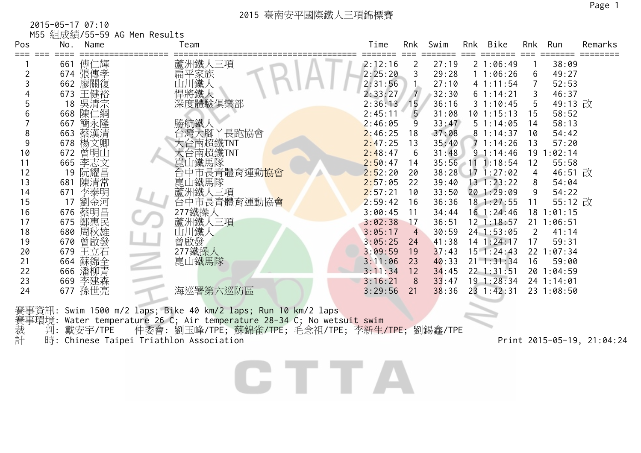2015-05-17 07:10

|          |                    | M55 組成績/55-59 AG Men Results |                           |                    |                 |                |                          |                |                          |         |
|----------|--------------------|------------------------------|---------------------------|--------------------|-----------------|----------------|--------------------------|----------------|--------------------------|---------|
| Pos      | No.                | Name                         | Team                      | Time               | Rnk             | Swim           | Rnk Bike                 |                | Rnk Run                  | Remarks |
|          | 661 傅仁輝            |                              |                           | 2:12:16            | 2               | 27:19          | 21:06:49                 |                | 38:09                    |         |
|          | 674 張傳孝            |                              |                           | 2:25:20            |                 | 29:28          | 11:06:26                 | 6              | 49:27                    |         |
|          | 662 廖關復            |                              | 蘆洲鐵人三項<br>扁平家族<br>山川鐵人    | 2:31:56            |                 | 27:10          | 41:11:54                 | $\overline{7}$ | 52:53                    |         |
|          | 673 王健裕            |                              | 悍將鐵人                      | 2:33:27            | $\overline{7}$  | 32:30          | 61:14:21                 | $\mathsf{3}$   | 46:37                    |         |
|          |                    |                              | 深度體驗俱樂部                   | 2:36:13            | 15              | 36:16          | 31:10:45                 | 5              | 49:13 改                  |         |
| 6        | 18 吴清宗<br>668 陳仁綱  |                              |                           | 2:45:11            | $5\overline{)}$ | 31:08          | $10$ 1:15:13             | 15             | 58:52                    |         |
|          | 667                | 簡永隆                          | 勝航鐵人                      | 2:46:05            | 9               | 33:47          | 51:14:05                 | 14             | 58:13                    |         |
| 8        | 663                | 蔡漢清                          | 台灣大腳丫長跑協會                 | 2:46:25            | 18              | 37:08          | 81:14:37                 | 10             | 54:42                    |         |
| 9        | 678 楊文卿            |                              | 大台南超鐵TNT                  | 2:47:25            | 13              | 35:40          | 71:14:26                 | 13             | 57:20                    |         |
| 10       | 672 曾明山            |                              | 大台南超鐵TNT                  | 2:48:47            | 6               | 31:48          | 91:14:46                 |                | $19$ $1:02:14$           |         |
| 11       | 665 李志文            |                              | 崑山鐵馬隊                     | 2:50:47            | 14              | $35:56$ 11     | 1:18:54                  | 12             | 55:58                    |         |
| 12       | 19 阮耀昌             |                              | 台中市長青體育運動 <mark>協會</mark> | 2:52:20            | 20              |                | 38:28 17 1:27:02         | $\overline{4}$ | 46:51 改                  |         |
| 13       | 681                | 陳清常                          | 崑山鐵馬隊                     | 2:57:05            | 22              | 39:40          | $13 \t1:23:22$           | 8              | 54:04                    |         |
| 14       | 671                | 李泰明                          | 蘆洲鐵人三項<br>台中市長青體育運動協會     | 2:57:21            | 10              | 33:50          | 20 1:29:09               | 9              | 54:22                    |         |
| 15       | 17                 | 劉金河                          |                           | 2:59:42            | 16              | 36:36          | 18 1:27:55               | 11             | 55:12 改                  |         |
| 16       | 676 蔡明昌<br>675 鄭惠民 |                              | 277鐵操人                    | 3:00:45            | 11              | 34:44          | $16$ 1:24:46             |                | $18$ 1:01:15             |         |
| 17       |                    |                              | 蘆洲鐵人三項                    | 3:02:38            | 17              | 36:51          | $12$ 1:18:57             |                | 21 1:06:51               |         |
| 18       | 680 周秋雄            |                              | 山川鐵人                      | 3:05:17            | $\overline{4}$  | 30:59          | $24$ 1:53:05             | 2              | 41:14                    |         |
| 19       | 670 曾啟發            |                              | 曾啟發                       | 3:05:25            | 24              | 41:38          | $14$ 1:24:17             | 17             | 59:31                    |         |
| 20       | 679                | 王立石                          | 277鐵操人                    | 3:09:59            | 19              | 37:43          | $15$ 1:24:43             |                | 22 1:07:34               |         |
| 21       | 664                | 蘇錦全                          | 崑山鐵馬隊                     | 3:11:06            | 23              | 40:33          | $21 \t1:31:34$           | 16             | 59:00                    |         |
| 22       | 666 潘柳青            |                              |                           | 3:11:34            | 12              | 34:45          | $22$ 1:31:51             |                | 20 1:04:59               |         |
| 23<br>24 | 669 李建森<br>677 孫世亮 |                              | 海巡署第六巡防區                  | 3:16:21<br>3:29:56 | -8<br>21        | 33:47<br>38:36 | 19 1:28:34<br>23 1:42:31 |                | 24 1:14:01<br>23 1:08:50 |         |
|          |                    |                              |                           |                    |                 |                |                          |                |                          |         |

賽事資訊: Swim 1500 m/2 laps; Bike 40 km/2 laps; Run 10 km/2 laps 賽事環境: Water temperature 26 C; Air temperature 28-34 C; No wetsu<mark>it s</mark>wim 裁 判: 戴安宇/TPE 仲委會: 劉玉峰/TPE; 蘇錦雀/TPE; 毛念祖/TPE; 李新生/TPE; 劉錫鑫/TPE 計 時: Chinese Taipei Triathlon Association Print 2015-05-19, 21:04:24

CTTA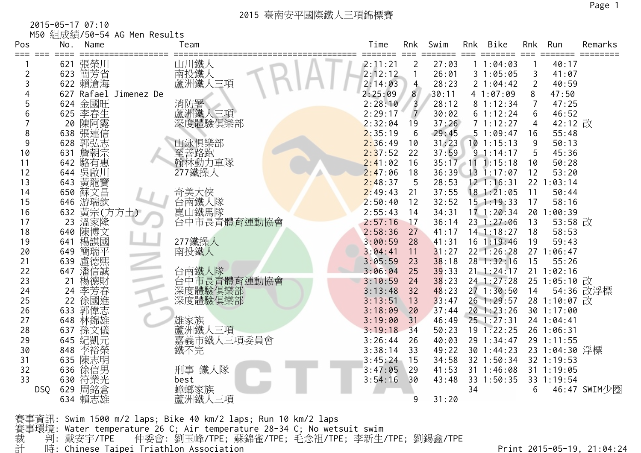2015-05-17 07:10

|       |     |                    | M50 組成績/50-54 AG Men Results |                               |         |                |       |     |                  |                 |               |              |
|-------|-----|--------------------|------------------------------|-------------------------------|---------|----------------|-------|-----|------------------|-----------------|---------------|--------------|
| Pos   | No. | Name               |                              | Team                          | Time    | Rnk            | Swim  | Rnk | Bike             | Rnk             | Run           | Remarks      |
| $===$ |     |                    |                              |                               | 2:11:21 | 2              | 27:03 |     | 11:04:03         |                 | 40:17         |              |
| 2     |     | 621 張榮川<br>623 簡芳省 |                              | 山川鐵人<br>南投鐵人<br>蘆洲鐵人三項        | 2:12:12 | 1              | 26:01 |     | 31:05:05         | 3               | 41:07         |              |
| 3     |     | 622 賴滄海            |                              |                               | 2:14:03 | 4              | 28:23 |     | 2 1:04:42        | $\overline{2}$  | 40:59         |              |
| 4     |     |                    | 627 Rafael Jimenez De        |                               | 2:25:09 | 8              | 30:11 |     | 4 1:07:09        | 8               | 47:50         |              |
| 5     |     |                    |                              |                               | 2:28:10 | 3              | 28:12 |     | 8 1:12:34        |                 | 47:25         |              |
| 6     |     | 624 金國旺<br>625 李春生 |                              |                               | 2:29:17 | $\overline{7}$ | 30:02 |     | 61:12:24         | 6               | 46:52         |              |
|       | 20  | 陳阿露                |                              | 消防署<br>蘆洲鐵人三項<br>深度體驗俱樂部      | 2:32:04 | 19             | 37:26 |     | 71:12:27         | 4               | 42:12 改       |              |
| 8     | 638 | 張連信                |                              |                               | 2:35:19 | 6              | 29:45 |     | 51:09:47         | 16              | 55:48         |              |
| 9     | 628 | 郭弘志                |                              | 山泳俱樂部                         | 2:36:49 | 10             | 31:23 |     | $10$ 1:15:13     | 9               | 50:13         |              |
| 10    | 631 | 詹朝宗                |                              | 三善路跑<br>翰林動力車隊                | 2:37:52 | 22             | 37:59 |     | 91:14:17         | 5               | 45:36         |              |
| 11    |     | 642 駱有惠            |                              |                               | 2:41:02 | 16             |       |     | 35:17 11 1:15:18 | 10              | 50:28         |              |
| 12    | 644 | 吳啟川                |                              | 277鐵操人                        | 2:47:06 | 18             | 36:39 |     | $13 \t1:17:07$   | 12              | 53:20         |              |
| 13    | 643 | 黃龍寶                |                              |                               | 2:48:37 | 5              | 28:53 |     | $12$ 1:16:31     | 22 <sub>1</sub> | : 03:14       |              |
| 14    | 650 | 蘇文昌                |                              | 奇美大俠                          | 2:49:43 | 21             | 37:55 |     | 18 1:21:05       | 11              | 50:44         |              |
| 15    | 646 | 游瑞欽                |                              | ら南鐵人隊<br>崑山鐵馬隊<br>台中市長青體育運動協會 | 2:50:40 | 12             | 32:52 |     | $15$ 1:19:33     | 17              | 58:16         |              |
| 16    | 632 | 黃宗(方方土)            |                              |                               | 2:55:43 | 14             | 34:31 |     | $17 \t1:20:34$   | 20              | :00:39<br>-1  |              |
| 17    | 23  | 溫家隆                |                              |                               | 2:57:16 | 17             | 36:14 |     | 23 1:27:06       | 13              | 53:58 改       |              |
| 18    | 640 | 陳博文                |                              |                               | 2:58:36 | 27             | 41:17 |     | $14$ 1:18:27     | 18              | 58:53         |              |
| 19    | 641 | 楊謨國                |                              | 277鐵操人                        | 3:00:59 | 28             | 41:31 |     | 16 1:19:46       | 19              | 59:43         |              |
| 20    | 649 | 簡瑞平                |                              | 南投鐵人                          | 3:04:41 | 11             | 31:27 |     | 22 1:26:28       |                 | 27 1:06:47    |              |
| 21    | 639 | 盧德熙                |                              |                               | 3:05:59 | 23             | 38:18 |     | 28 1:32:16       | 15              | 55:26         |              |
| 22    | 647 | 潘信誠                |                              | 台南鐵人隊                         | 3:06:04 | 25             | 39:33 |     | $21 \t1:24:17$   |                 | 21 1:02:16    |              |
| 23    | 21  | 楊德財                |                              | 台中市長青體育運動協會                   | 3:10:59 | 24             | 38:23 |     | 24 1:27:28       |                 | 25 1:05:10 改  |              |
| 24    | 24  | 李芳春                |                              | 深度體驗俱樂部                       | 3:13:48 | 32             | 48:23 |     | 27 1:30:50       | 14              |               | 54:36 改浮標    |
| 25    | 22  | 徐國進志               |                              | 深度體驗俱樂部                       | 3:13:51 | 13             | 33:47 |     | 26 1:29:57       |                 | 28 1:10:07 改  |              |
| 26    | 633 |                    |                              |                               | 3:18:09 | 20             | 37:44 |     | 20 1:23:26       |                 | 30 1:17:00    |              |
| 27    | 648 | 林錦雄                |                              | 雄家族                           | 3:19:00 | 31             | 46:49 |     | $25$ 1:27:31     |                 | 24 1:04:41    |              |
| 28    | 637 | 孫文儀                |                              | 蘆洲鐵人三項<br>嘉義市鐵人三項委員會          | 3:19:18 | 34             | 50:23 |     | 19 1:22:25       |                 | 26 1:06:31    |              |
| 29    | 645 | 紀凱元                |                              |                               | 3:26:44 | 26             | 40:03 |     | 29 1:34:47       |                 | 29 1:11:55    |              |
| 30    | 848 | 李裕榮                |                              | 鐵不完                           | 3:38:14 | 33             | 49:22 |     | 30 1:44:23       |                 | 23 1:04:30 浮標 |              |
| 31    | 635 | 陳志明                |                              |                               | 3:45:24 | 15             | 34:58 |     | 32 1:50:34       |                 | 32 1:19:53    |              |
| 32    | 636 | 徐信男                |                              | 刑事 鐵人隊                        | 3:47:05 | 29             | 41:53 |     | 31 1:46:08       |                 | 31 1:19:05    |              |
| 33    | 630 | 符業光                |                              | best                          | 3:54:16 | 30             | 43:48 |     | 33 1:50:35       |                 | 33 1:19:54    |              |
| DSQ   | 629 | 周銘倉                |                              | 蟑螂家族                          |         |                |       | 34  |                  | 6               |               | 46:47 SWIM少圈 |
|       |     | 634 賴志雄            |                              | 蘆洲鐵人三項                        |         | 9              | 31:20 |     |                  |                 |               |              |

賽事資訊: Swim 1500 m/2 laps; Bike 40 km/2 laps; Run 10 km/2 laps 賽事環境: Water temperature 26 C; Air temperature 28-34 C; No wetsuit swim 裁 判: 戴安宇/TPE 仲委會: 劉玉峰/TPE; 蘇錦雀/TPE; 毛念祖/TPE; 李新生/TPE; 劉錫鑫/TPE 計 時: Chinese Tai pei Triathlon Association Print 2015-05-19, 21:04:24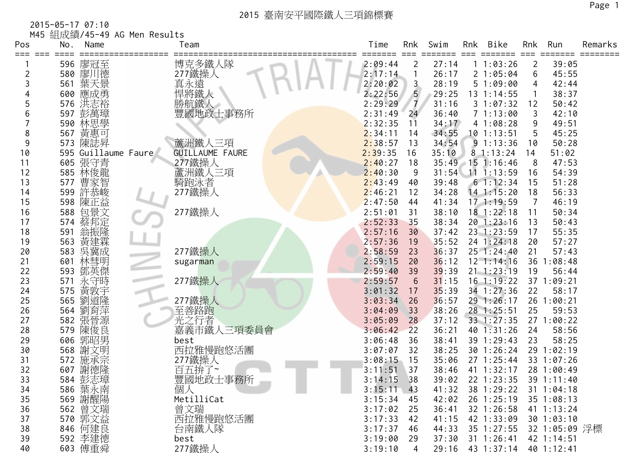2015-05-17 07:10 M45 組成績/45-49 AG Men Results

| Pos<br>⋍⋍⋍<br>$= = =$ | <b>1110 他们久快</b><br>No. | Name                | Team                   | Time<br>===== | Rnk<br>$==$    | Swim  | Rnk | Bike               | Rnk            | Run            | Remarks |
|-----------------------|-------------------------|---------------------|------------------------|---------------|----------------|-------|-----|--------------------|----------------|----------------|---------|
|                       |                         | 596 廖冠至             | 博克多鐵人隊                 | 2:09:44       | $\overline{2}$ | 27:14 |     | 11:03:26           | $\overline{2}$ | 39:05          |         |
| 2                     | 580                     | 廖川德                 | 277鐵操人                 | 2:17:14       |                | 26:17 |     | 21:05:04           | 6              | 45:55          |         |
| 3                     | 561                     | 葉天景                 | 真永遠                    | 2:20:02       | $\mathbf{3}$   | 28:19 |     | 51:09:00           | 4              | 42:44          |         |
|                       | 600                     | 應成勇                 | 悍將鐵人                   | 2:22:56       | 5 <sub>5</sub> | 29:25 |     | $13 \t1:14:55$     |                | 38:37          |         |
|                       | 576                     | 洪志裕                 |                        | 2:29:29       | $\overline{7}$ | 31:16 |     | 31:07:32           | 12             | 50:42          |         |
|                       | 597                     | 彭萬璋                 | 勝航鐵人<br>豐國地政士事務所       | 2:31:49       | 24             | 36:40 |     | 71:13:00           | 3              | 42:10          |         |
|                       | 590                     | 林思學                 |                        | 2:32:35       | 11             | 34:17 |     | 41:08:28           | 9              | 49:51          |         |
| 8                     | 567                     | 黃惠可                 |                        | 2:34:11       | 14             | 34:55 |     | $10$ 1:13:51       | 5              | 45:25          |         |
| 9                     |                         | 573 陳誌昇             | 蘆洲鐵人三項                 | 2:38:57       | 13             | 34:54 |     | 91:13:36           | 10             | 50:28          |         |
| 10                    |                         | 595 Guillaume Faure | <b>GUILLAUME FAURE</b> | 2:39:35       | 16             | 35:10 |     | 81:13:24           | 14             | 51:02          |         |
| 11                    |                         | 605 張守青             | 277鐵操人                 | 2:40:27       | 18             |       |     | 35:49 15 1:16:46   | 8              | 47:53          |         |
| 12                    |                         | 585 林俊龍             | 蘆洲鐵人三項                 | 2:40:30       | 9              | 31:54 |     | $11$ 1:13:59       | 16             | 54:39          |         |
| 13                    | 577                     | 曹家智                 | 騎跑泳者                   | 2:43:49       | 40             | 39:48 |     | 61:12:34           | 15             | 51:28          |         |
| 14                    | 599                     | 許恭峻                 | 277鐵操人                 | 2:46:21       | 12             | 34:28 |     | $14$ 1:15:20       | 18             | 56:33          |         |
| 15                    |                         | 598 陳正益             |                        | 2:47:50       | 44             | 41:34 |     | 171:19:59          | 7              | 46:19          |         |
| 16                    | 588                     | 包景文                 | 277鐵操人                 | 2:51:01       | 31             | 38:10 |     | $18$ 1:22:18       | 11             | 50:34          |         |
| 17                    | 574                     | 蔡邦定                 |                        | 2:52:33       | 35             | 38:34 |     | 201:23:16          | 13             | 50:43          |         |
| 18                    | 591                     | 翁振隆                 |                        | 2:57:16       | 30             | 37:42 |     | $23 \quad 1:23:59$ | 17             | 55:35          |         |
| 19                    | 563                     | 黃建霖                 |                        | 2:57:36       | 19             | 35:52 |     | 24 1:24:18         | 20             | 57:27          |         |
| 20                    | 583                     | 吳冀成                 | 277鐵操人                 | 2:58:59       | 23             | 36:37 |     | 251:24:40          | 21             | 57:43          |         |
| 21                    | 601                     | 林彗明                 | sugarman               | 2:59:15       | 20             | 36:12 |     | $12 \t1:14:16$     |                | 36 1:08:48     |         |
| 22                    | 593                     | 鄧英傑                 |                        | 2:59:40       | 39             | 39:39 |     | $21 \t1:23:19$     | 19             | 56:44          |         |
| 23                    | 571                     | 永守時                 | 277鐵操人                 | 2:59:57       | 6              | 31:15 |     | $16$ 1:19:22       |                | 37 1:09:21     |         |
| 24                    | 575                     | 黃敦宇                 |                        | 3:01:32       | 17             | 35:39 |     | 34 1:27:36         | 22             | 58:17          |         |
| 25                    | 565                     | 劉道隆<br>劉育萍          | 277鐵操人                 | 3:03:34       | 26             | 36:57 |     | 29 1:26:17         |                | 26 1:00:21     |         |
| 26                    | 564                     |                     | 至善路跑                   | 3:04:09       | 33             | 38:26 |     | 28 1:25:51         | 25             | 59:53          |         |
| 27                    | 582                     | 張晉源                 | 光之行者                   | 3:05:09       | 28             | 37:12 |     | 33 1:27:35         |                | 27 1:00:22     |         |
| 28                    | 579                     | 陳俊良                 | 嘉義市鐵人三項委員會             | 3:06:42       | 22             | 36:21 |     | 40 1:31:26         | 24             | 58:56          |         |
| 29                    | 606                     | 郭昭男                 | best                   | 3:06:48       | 36             | 38:41 |     | 39 1:29:43         | 23             | 58:25          |         |
| 30                    | 568                     | 謝文明                 |                        | 3:07:07       | 32             | 38:25 |     | 30 1:26:24         |                | 29 1:02:19     |         |
| 31                    | 572                     | 施承宗                 | 西拉雅慢跑悠活團<br>277鐵操人     | 3:08:15       | 15             | 35:06 |     | 27 1:25:44         |                | 33 1:07:26     |         |
| 32                    | 607                     | 謝德隆                 | 百五拚了~                  | 3:11:51       | 37             | 38:46 |     | 41 1:32:17         |                | 28 1:00:49     |         |
| 33                    |                         | 584 彭志璋             | 豐國地政士事務所               | 3:14:15       | 38             | 39:02 |     | 22 1:23:35         |                | 39 1:11:40     |         |
| 34                    |                         | 586 葉永南             | 個人                     | 3:15:11       | 43             | 41:32 |     | 38 1:29:22         |                | $31 \t1:04:18$ |         |
| 35                    |                         | 569 謝醒陽             | MetilliCat             | 3:15:34       | 45             | 42:02 |     | 26 1:25:19         |                | 35 1:08:13     |         |
| 36                    |                         | 562 曾文瑞             | 曾文瑞                    | 3:17:02       | 25             | 36:41 |     | 32 1:26:58         |                | 41 1:13:24     |         |
| 37                    |                         | 570 郭文益             | 西拉雅慢跑悠活團               | 3:17:33       | 42             | 41:15 |     | 42 1:33:09         |                | 301:03:10      |         |
| 38                    |                         | 846 何建良             | 台南鐵人隊                  | 3:17:37       | 46             | 44:33 |     | 35 1:27:55         |                | 32 1:05:09 浮標  |         |
| 39                    |                         | 592 李建德             | best                   | 3:19:00       | 29             | 37:30 |     | $31$ 1:26:41       |                | 42 1:14:51     |         |
| 40                    |                         | 603 傅重舜             | 277鐵操人                 | 3:19:10       | 4              | 29:16 |     | 43 1:37:14         |                | 40 1:12:41     |         |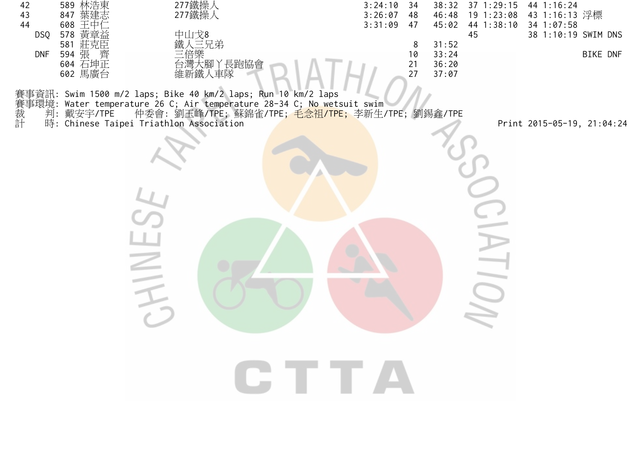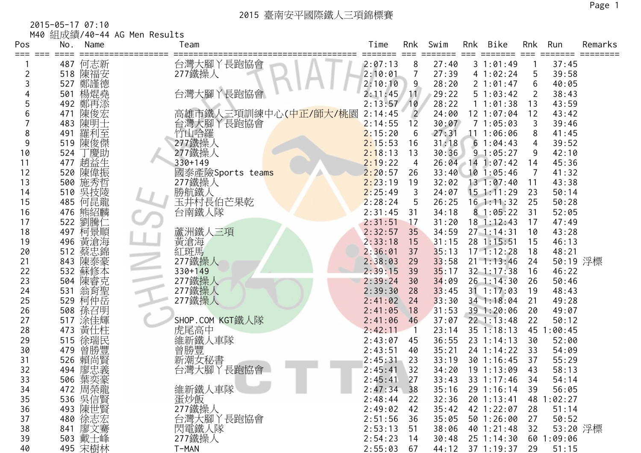2015-05-17 07:10 M40 組成績/40-44 AG Men Results

| Pos<br>≡≕≕ | No.        | Name         | Team                                     | Time               | Rnk            | Swim           | Rnk | Bike                         | Rnk      | Run            | Remarks |
|------------|------------|--------------|------------------------------------------|--------------------|----------------|----------------|-----|------------------------------|----------|----------------|---------|
|            | 487        | 何志新          | 台灣大腳丫長跑協會                                | 2:07:13            | 8              | 27:40          |     | 31:01:49                     |          | 37:45          |         |
|            | 518        | 陳福安          | 277鐵操人                                   | 2:10:01            |                | 27:39          |     | 4 1:02:24                    | 5        | 39:58          |         |
|            | 527        | 鄭謹徳          |                                          | 2:10:10            | 9              | 28:20          |     | 2 1:01:47                    | 6        | 40:05          |         |
|            | 501        | 楊焜堯          | 台灣大腳丫長跑協會                                | 2:11:45            | 11             | 29:22          |     | 51:03:42                     | 2        | 38:43          |         |
|            | 492        | 鄭再添          |                                          | 2:13:57            | 10             | 28:22          |     | 11:01:38                     | 13       | 43:59          |         |
| 6          | 471        | 陳俊宏          | 高雄市鐵人三項訓練中心(中正/師大/桃園<br>台灣大腳丫長跑協會        | 2:14:45            | $\overline{2}$ | 24:00          |     | 12 1:07:04                   | 12       | 43:42          |         |
|            | 483        | 陳明士          |                                          | 2:14:55            | 12             | 30:07          |     | 71:05:03                     | 3        | 39:46          |         |
| 8          | 491        | 羅利至          | 竹山哈羅                                     | 2:15:20            | 6              | 27:31          |     | 11 1:06:06                   | 8        | 41:45          |         |
| 9          | 519        | 陳俊傑          | 277鐵操人                                   | 2:15:53            | 16             | 31:18          |     | 61:04:43                     | 4        | 39:52          |         |
| 10         | 524        | 慶助           | 277鐵操人                                   | 2:18:13            | 13             | 30:36          |     | 91:05:27                     | 9        | 42:10          |         |
| 11         | 477        | 趙益生          | $330 + 149$                              | 2:19:22            | 4              |                |     | 26:04 14 1:07:42             | 14       | 45:36          |         |
| 12         | 520        | 陳偉振          | 國泰產險Sports tea <mark>ms</mark><br>277鐵操人 | 2:20:57            | 26             | 33:40          |     | $10$ 1:05:46                 | 7        | 41:32          |         |
| 13         |            | 500 施秀哲      |                                          | 2:23:19            | 19             | 32:02          |     | 131:07:40                    | 11       | 43:38          |         |
| 14         | 510        | 吳技陵          | 勝航鐵人                                     | 2:25:49            | 3              | 24:07          |     | $15$ 1:11:29                 | 23       | 50:14          |         |
| 15         | 485        | 何昆龍          | 玉井村長伯芒果乾                                 | 2:28:24            | 5              | 26:25          |     | $16$ 1:11:32                 | 25       | 50:28          |         |
| 16         |            | 476 熊紹麟      | 台南鐵人隊                                    | 2:31:45            | 31             | 34:18          |     | 81:05:22                     | 31       | 52:05          |         |
| 17         | 522        | 劉騰仁          |                                          | 2:31:51            | 17             | 31:20          |     | $18$ 1:12:43                 | 17       | 47:49          |         |
| 18         | 497        | 柯景順          | 蘆洲鐵人三項                                   | 2:32:57            | 35             | 34:59          |     | $27 \t1:14:31$               | 10       | 43:28          |         |
| 19         | 496        | 黃滄海          | 黃滄海                                      | 2:33:18            | 15             | 31:15          |     | 28 1:15:51                   | 15       | 46:13          |         |
| 20         | 512        | 蔡忠錦          | 紅斑馬                                      | 2:36:01            | 37             | 35:13          |     | $17 - 1:12:28$               | 18       | 48:21          |         |
| 21         | 843        | 陳泰豪          | 277鐵操人                                   | 2:38:03            | 29             | 33:58          |     | $21 \t1:13:46$               | 24       | 50:19 浮標       |         |
| 22         | 532        | 蘇修本          | 330+149                                  | 2:39:15            | 39             | 35:17          |     | 32 1:17:38                   | 16       | 46:22          |         |
| 23         | 504        | 陳睿克          | 277鐵操人                                   | 2:39:24            | 30             | 34:09          |     | 26 1:14:30                   | 26       | 50:46          |         |
| 24         | 531        | 翁育聖          | 277鐵操人                                   | 2:39:30            | 28             | 33:45          |     | $31 \t1:17:03$               | 19       | 48:43          |         |
| 25         | 529        | 柯仲岳          | 277鐵操人                                   | 2:41:02            | 24             | 33:30          |     | 34 1:18:04                   | 21       | 49:28          |         |
| 26         | 508        | 孫召明          |                                          | 2:41:05            | 18             | 31:53          |     | 39 1:20:06                   | 20       | 49:07          |         |
| 27         | 517        | 涂佳輝          | SHOP.COM KGT鐵人隊                          | 2:41:06            | 46             | 37:07          |     | $22$ 1:13:48                 | 22       | 50:12          |         |
| 28<br>29   | 473        | 黃仕柱<br>徐瑞民   | 虎尾高中                                     | 2:42:11            |                | 23:14          |     | 35 1:18:13                   | 45       | :00:45         |         |
|            | 515<br>479 |              | 維新鐵人車隊                                   | 2:43:07            | 45             | 36:55<br>35:21 |     | $23 \t1:14:13$<br>24 1:14:22 | 30<br>33 | 52:00<br>54:09 |         |
| 30<br>31   | 526        | · 曾勝豐<br>賴尚賢 | 普勝豐<br>新潮女秘書<br>新潮女                      | 2:43:51<br>2:45:31 | 40<br>23       | 33:19          |     | 30 1:16:45                   | 37       | 55:29          |         |
| 32         | 494        | 廖忠義          | 丫長跑協會<br>台灣大腳                            | 2:45:41            | 32             | 34:20          |     | 19 1:13:09                   | 43       | 58:13          |         |
| 33         | 506        | 葉奕豪          |                                          | 2:45:41            | 27             | 33:43          |     | 33 1:17:46                   | 34       | 54:14          |         |
| 34         |            | 472 周榮龍      | 維新鐵人車隊                                   | 2:47:34            | 38             | 35:16          |     | 29 1:16:14                   | 39       | 56:05          |         |
| 35         |            | 536 吳信賢      | 蛋炒飯                                      | 2:48:44            | 22             | 32:36          |     | 20 1:13:41                   |          | 48 1:02:27     |         |
| 36         |            | 493 陳世賢      | 277鐵操人                                   | 2:49:02            | 42             | 35:42          |     | 42 1:22:07                   | 28       | 51:14          |         |
| 37         |            | 480 徐志宏      |                                          | 2:51:56            | 36             | 35:05          |     | 50 1:26:00                   | 27       | 50:52          |         |
| 38         |            | 841 廖文騫      | 台灣大腳丫長跑協會<br>閃電鐵人隊                       | 2:53:13            | 51             | 38:06          |     | 40 1:21:48                   | 32       | 53:20 浮標       |         |
| 39         |            | 503 戴士峰      | 277鐵操人                                   | 2:54:23            | 14             | 30:48          |     | $25 \t1:14:30$               |          | 60 1:09:06     |         |
| 40         |            | 495 宋樹林      | T-MAN                                    | 2:55:03            | 67             |                |     | 44:12 37 1:19:37             | 29       | 51:15          |         |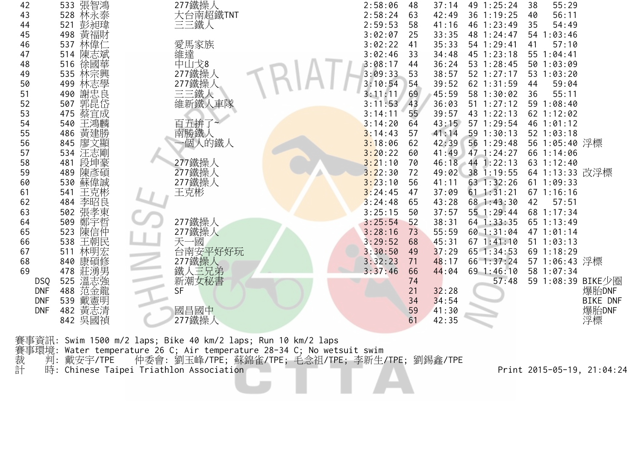| 42         | 533 張智鴻<br>528 林永泰 | 277鐵操人                        | 2:58:06 | 48 | 37:14 | 49 1:25:24   | 38 | 55:29          |                   |
|------------|--------------------|-------------------------------|---------|----|-------|--------------|----|----------------|-------------------|
| 43         |                    | 大台南超鐵TNT                      | 2:58:24 | 63 | 42:49 | 36 1:19:25   | 40 | 56:11          |                   |
| 44         | 彭昶瑋<br>521         | 三三鐵人                          | 2:59:53 | 58 | 41:16 | 46 1:23:49   | 35 | 54:49          |                   |
| 45         | 黃福財<br>498         |                               | 3:02:07 | 25 | 33:35 | 48 1:24:47   |    | 54 1:03:46     |                   |
| 46         | 林偉(<br>537         | 愛馬家族                          | 3:02:22 | 41 | 35:33 | 54 1:29:41   | 41 | 57:10          |                   |
| 47         | 陳志斌<br>514         |                               | 3:02:46 | 33 | 34:48 | 45 1:23:18   |    | 55 1:04:41     |                   |
| 48         | 徐國華<br>516         | 《維中】<br>神文<br>277鐵操<br>277鐵操, | 3:08:17 | 44 | 36:24 | 53 1:28:45   |    | 50 1:03:09     |                   |
| 49         | 林宗興<br>535         |                               | 3:09:33 | 53 | 38:57 | 52 1:27:17   |    | 53 1:03:20     |                   |
| 50         | 林志學<br>499         | 277鐵操                         | 3:10:54 | 54 | 39:52 | 62 1:31:59   | 44 | 59:04          |                   |
| 51         | 謝忠良<br>490         | 三三鐵人                          | 3:11:11 | 69 | 45:59 | 58 1:30:02   | 36 | 55:11          |                   |
| 52         | 郭昆岱<br>507         | 維新鐵人車隊                        | 3:11:53 | 43 | 36:03 | 51 1:27:12   |    | 59 1:08:40     |                   |
| 53         | 蔡宜成<br>475         |                               | 3:14:11 | 55 | 39:57 | 43 1:22:13   |    | 62 1:12:02     |                   |
| 54         | 王鴻麟<br>540         | 百五拚了                          | 3:14:20 | 64 | 43:15 | 57 1:29:54   |    | 46 1:01:12     |                   |
| 55         | 黃建勝<br>486         | 南勝鐵人                          | 3:14:43 | 57 | 41:14 | 59 1:30:13   |    | 52 1:03:18     |                   |
| 56         | 廖文顯<br>845         | 一個人的鐵人                        | 3:18:06 | 62 | 42:39 | 56 1:29:48   |    | 56 1:05:40 浮標  |                   |
| 57         | 汪志剛<br>534         |                               | 3:20:22 | 60 | 41:49 | $47$ 1:24:27 |    | 66 1:14:06     |                   |
| 58         | 段坤豪<br>481         | 277鐵操人                        | 3:21:10 | 70 | 46:18 | $44$ 1:22:13 |    | 63 1:12:40     |                   |
| 59         | 陳彥碩<br>489         | 277鐵操人<br>277鐵操人              | 3:22:30 | 72 | 49:02 | 38 1:19:55   |    | 64 1:13:33 改浮標 |                   |
| 60         | 蘇偉誠<br>530         |                               | 3:23:10 | 56 | 41:11 | 63 1:32:26   |    | 61 1:09:33     |                   |
| 61         | 王克彬<br>541         | 王克彬                           | 3:24:45 | 47 | 37:09 | 61 1:31:21   |    | $67$ 1:16:16   |                   |
| 62         | 李昭良<br>484         |                               | 3:24:48 | 65 | 43:28 | 68 1:43:30   | 42 | 57:51          |                   |
| 63         | 張孝東<br>502         |                               | 3:25:15 | 50 | 37:57 | 55 1:29:44   |    | 68 1:17:34     |                   |
| 64         | 鄭宇哲<br>509         | 277鐵操人                        | 3:25:54 | 52 | 38:31 | $64$ 1:33:35 |    | 65 1:13:49     |                   |
| 65         | 陳信仲<br>523         | 277鐵操人                        | 3:28:16 | 73 | 55:59 | 60 1:31:04   |    | 47 1:01:14     |                   |
| 66         | 王朝民<br>538         |                               | 3:29:52 | 68 | 45:31 | 671:41:10    |    | 51 1:03:13     |                   |
| 67         | 林明宏<br>511         | 天一國<br>台南安平好好玩                | 3:30:50 | 49 | 37:29 | 65 1:34:53   |    | 69 1:18:29     |                   |
| 68         | 康碩修<br>840         | 277鐵操人                        | 3:32:23 | 71 | 48:17 | 66 1:37:24   |    | 57 1:06:43 浮標  |                   |
| 69         | 莊湧男<br>478         | 鐵人三兄弟                         | 3:37:46 | 66 | 44:04 | 69 1:46:10   |    | 58 1:07:34     |                   |
| <b>DSQ</b> | 溫志強<br>525         | 新潮女秘書                         |         | 74 |       | 57:48        |    |                | 59 1:08:39 BIKE少圈 |
| <b>DNF</b> | 范金龍<br>488         | <b>SF</b>                     |         | 21 | 32:28 |              |    |                | 爆胎DNF             |
| <b>DNF</b> | 戴憲明<br>539         |                               |         | 34 | 34:54 |              |    |                | <b>BIKE DNF</b>   |
| <b>DNF</b> | 黃志清<br>482         | 國昌國中                          |         | 59 | 41:30 |              |    |                | 爆胎DNF             |
|            | 842 吳國禎            | 277鐵操人                        |         | 61 | 42:35 |              |    |                | 浮標                |
|            |                    |                               |         |    |       |              |    |                |                   |

賽事資訊: Swim 1500 m/2 laps; Bike 40 km/2 laps; Run 10 km/2 laps 賽事環境: Water temperature 26 C; Air temperature 28-34 C; No wetsuit swim 裁 判: 戴安宇/TPE 仲委會: 劉玉峰/TPE; 蘇錦雀/TPE; 毛念祖/TPE; 李新生/TPE; 劉錫鑫/TPE 計 時: Chinese Taipei Triathlon Association Print 2015-05-19, 21:04:24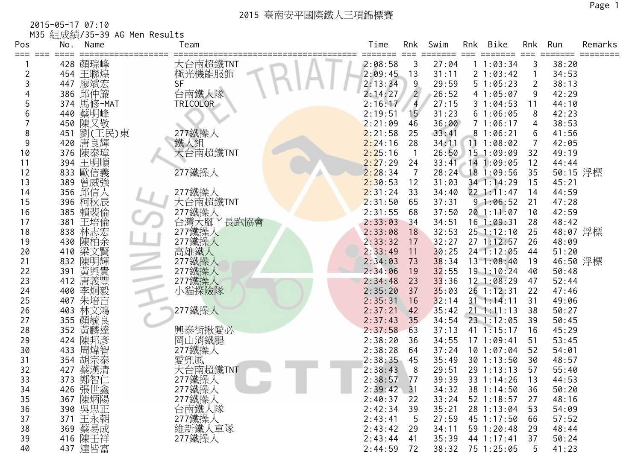2015-05-17 07:10 M35 組成績/35-39 AG Men Results

| Pos | No. | Name       | Team                | Time         | Rnk             | Swim  | Rnk | Bike             | Rnk            | Run      | Remarks |
|-----|-----|------------|---------------------|--------------|-----------------|-------|-----|------------------|----------------|----------|---------|
|     |     | 428 顏琮峰    | 大台南超鐵TNT            | 2:08:58      | 3               | 27:04 |     | 11:03:34         | 3              | 38:20    |         |
|     |     | 454 王聯煌    | 極光機能服飾              | 2:09:45      | 13              | 31:11 |     | 2 1:03:42        | $\mathbf{1}$   | 34:53    |         |
|     |     | 447 廖斌宏    | <b>SF</b>           | 2:13:34      | 9               | 29:59 |     | 51:05:23         | $\overline{2}$ | 38:13    |         |
|     |     | 386 邱仲簾    | 台南鐵人隊               | 2:14:27      | $\overline{2}$  | 26:52 |     | 41:05:07         | 9              | 42:29    |         |
|     |     | 374 馬修-MAT | TRICOLOR            | 2:16:17      | $\overline{4}$  | 27:15 |     | 31:04:53         | 11             | 44:10    |         |
| 6   |     | 440 蔡明峰    |                     | 2:19:51      | 15 <sup>°</sup> | 31:23 |     | 61:06:05         | 8              | 42:23    |         |
|     |     | 450 陳又敬    |                     | 2:21:09      | 46              | 36:00 |     | 71:06:17         | 4              | 38:53    |         |
| 8   | 451 | 劉(王民)東     | 277鐵操人              | 2:21:58      | 25              | 33:41 |     | 81:06:21         | 6              | 41:56    |         |
| 9   |     | 420 唐良輝    | 鐵人組                 | 2:24:16      | 28              | 34:11 |     | 111:08:02        | $\overline{7}$ | 42:05    |         |
| 10  |     | 376 陳泰璋    | 大台南超鐵TNT            | 2:25:16      | $\overline{1}$  | 26:50 |     | 151:09:09        | 32             | 49:19    |         |
| 11  |     | 394 王明順    |                     | 2:27:29      | 24              |       |     | 33:41 14 1:09:05 | 12             | 44:44    |         |
| 12  |     | 833 歐信義    | 277鐵操人              | 2:28:34      | 7               |       |     | 28:24 18 1:09:56 | 35             | 50:15 浮標 |         |
| 13  | 389 | 曾威強        |                     | 2:30:53      | 12              | 31:03 |     | 34 1:14:29       | 15             | 45:21    |         |
| 14  |     | 356 邱信人    | 277鐵操人              | 2:31:24      | 33              | 34:40 |     | $22$ 1:11:47     | 14             | 44:59    |         |
| 15  |     | 396 柯秋辰    | 大台南超鐵TNT            | 2:31:50      | 65              | 37:31 |     | 91:06:52         | 21             | 47:28    |         |
| 16  |     | 385 賴裴倫    | 277鐵操人<br>台灣大腳丫長跑協會 | 2:31:55      | 68              | 37:50 |     | 20 1:11:07       | 10             | 42:59    |         |
| 17  | 381 | 王培倫        |                     | 2:33:03      | 34              | 34:51 |     | $16$ 1:09:31     | 28             | 48:42    |         |
| 18  | 838 | 林志宏        | 277鐵操人              | 2:33:08      | 18              | 32:53 |     | $25$ 1:12:10     | 25             | 48:07 浮標 |         |
| 19  |     | 430 陳柏余    | 277鐵操人              | 2:33:32      | 17              | 32:27 |     | 27 1:12:57       | 26             | 48:09    |         |
| 20  | 410 | 梁文賢        | 高雄鐵人                | 2:33:49      | 11              | 30:25 |     | 24 1:12:05       | 44             | 51:20    |         |
| 21  |     | 832 陳明輝    | 277鐵操人              | 2:34:03      | 73              | 38:34 |     | 13 1:08:40       | 19             | 46:50 浮標 |         |
| 22  | 391 | 黃興貴        | 277鐵操人              | 2:34:06      | 19              | 32:55 |     | $19$ 1:10:24     | 40             | 50:48    |         |
| 23  |     | 412 唐義豐    | 277鐵操人<br>小貓探險隊     | 2:34:48      | 23              | 33:36 |     | 12 1:08:29       | 47             | 52:44    |         |
| 24  | 400 | 李炯毅        |                     | 2:35:20      | 37              | 35:03 |     | 26 1:12:31       | 22             | 47:46    |         |
| 25  | 407 | 朱培言        |                     | 2:35:31      | 16              | 32:14 |     | $31$ 1:14:11     | 31             | 49:06    |         |
| 26  | 403 | 林文鴻        | 277鐵操人              | 2:37:21      | 42              | 35:42 |     | $21 \t1:11:13$   | 38             | 50:27    |         |
| 27  |     | 355 顏毓良    |                     | 2:37:43      | 35              | 34:54 |     | 23 1:12:05       | 39             | 50:45    |         |
| 28  | 352 | 黃麟達        | 興泰街揪愛必              | 2:37:58      | 63              | 37:13 |     | 41 1:15:17       | 16             | 45:29    |         |
| 29  |     | 424 陳邦彥    | 岡山消鐵腿               | 2:38:20      | 36              | 34:55 |     | 171:09:41        | 51             | 53:45    |         |
| 30  | 433 | 周煒智        | 277鐵操人              | 2:38:28      | 64              | 37:24 |     | $10$ $1:07:04$   | 52             | 54:01    |         |
| 31  | 354 | 胡宗泰        | 愛兜風                 | 2:38:35      | 45              | 35:49 |     | 30 1:13:50       | 30             | 48:57    |         |
| 32  | 427 | 蔡漢清        | 大台南超鐵TNT            | 2:38:43      | 8               | 29:51 |     | 29 1:13:13       | 57             | 55:40    |         |
| 33  |     | 373 鄭智仁    | 277鐵操人              | 2:38:57      | 77              | 39:39 |     | 33 1:14:26       | 13             | 44:53    |         |
| 34  |     | 426 張世鑫    | 277鐵操人<br>277鐵操人    | $2:39:42$ 31 |                 | 34:32 |     | 38 1:14:50       | 36             | 50:20    |         |
| 35  |     | 367 陳炳陽    |                     | 2:40:37      | 22              | 33:24 |     | 52 1:18:57       | 27             | 48:16    |         |
| 36  |     | 390 吳思正    | 台南鐵人隊               | 2:42:34      | 39              | 35:21 |     | 28 1:13:04       | 53             | 54:09    |         |
| 37  |     | 371 王永朝    | 277鐵操人              | 2:43:41      | -5              | 27:59 |     | 45 1:17:50       | 66             | 57:52    |         |
| 38  |     | 369 蔡易成    | 維新鐵人車隊              | 2:43:42      | 29              | 34:11 |     | 59 1:20:48       | 29             | 48:44    |         |
| 39  |     | 416 陳壬祥    | 277鐵操人              | 2:43:44      | 41              | 35:39 |     | 44 1:17:41       | 37             | 50:24    |         |
| 40  |     | 437 連皆富    |                     | 2:44:59      | 72              | 38:32 |     | 75 1:25:05       | 5              | 41:23    |         |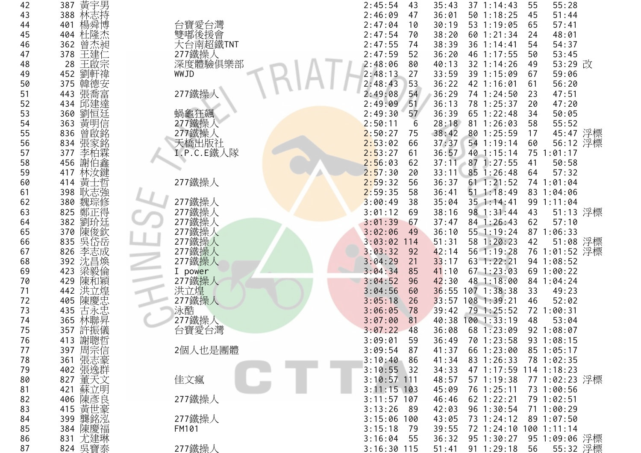| 42 | 387 黃宇男                          |                        | 2:45:54<br>35:43<br>$37 \t1:14:43$<br>55:28<br>43<br>55       |
|----|----------------------------------|------------------------|---------------------------------------------------------------|
| 43 | 林志持<br>388                       |                        | 2:46:09<br>36:01<br>$50$ 1:18:25<br>51:44<br>45<br>47         |
| 44 | 楊舜博<br>401                       | 台寶愛台灣                  | 53 1:19:05<br>2:47:04<br>30:19<br>65<br>57:41<br>10           |
| 45 | 杜隆杰<br>404                       | 雙嘟後援會                  | 2:47:54<br>38:20<br>48:01<br>60 1:21:34<br>24<br>70           |
| 46 | 曾杰昶<br>362                       | 大台南超鐵TNT               | 2:47:55<br>38:39<br>36 1:14:41<br>54:37<br>54<br>74           |
| 47 | 378<br>王建仁                       |                        | 36:20<br>46 1:17:55<br>53:45<br>2:47:59<br>52<br>50           |
| 48 | 王啟宗<br>28                        | 、<br>177鐵操人<br>深度體驗俱樂部 | 53:29 改<br>2:48:06<br>40:13<br>32 1:14:26<br>80<br>49         |
| 49 | 劉軒禕<br>452                       | WWJD                   | 2:48:13<br>33:59<br>27<br>39 1:15:09<br>59:06<br>67           |
| 50 | 375<br>韓德安                       |                        | 2:48:43<br>53<br>36:22<br>56:20<br>42 1:16:01<br>61           |
| 51 | 張喬富<br>443                       | 277鐵操人                 | 2:49:08<br>54<br>36:29<br>47:51<br>74 1:24:50<br>23           |
| 52 | 邱建達<br>434                       |                        | 36:13<br>2:49:09<br>51<br>78 1:25:37<br>47:20<br>20           |
| 53 | 劉恒廷<br>360                       | 蝸龜狂飆                   | 2:49:30<br>36:39<br>65 1:22:48<br>57<br>50:05<br>34           |
| 54 | 黃明信<br>363                       | 277鐵操                  | 2:50:11<br>28:18<br>81 1:26:03<br>55:52<br>6<br>58            |
| 55 | 曾啟銘<br>836                       | 277鐵操人                 | 2:50:27<br>45:47 浮標<br>38:42<br>80 1:25:59<br>17<br>75        |
| 56 | 834<br>張家銘                       | 天橋出版社                  | 37:37<br>56:12 浮標<br>2:53:02<br>54 1:19:14<br>60<br>66        |
| 57 | 李柏霖<br>377                       | I.P.C.E鐵人隊             | 2:53:27<br>36:57<br>40 1:15:14<br>75 1:01:17<br>61            |
| 58 | 謝伯鑫<br>456                       |                        | 2:56:03<br>37:11 87 1:27:55<br>50:58<br>41<br>62              |
| 59 | 林汝鍵<br>417                       |                        | 2:57:30<br>33:11<br>85 1:26:48<br>57:32<br>64<br>20           |
| 60 | 黃士哲<br>414                       | 277鐵操人                 | 2:59:32<br>61 1:21:52<br>74 1:01:04<br>56<br>36:37            |
| 61 | 耿志強<br>398                       |                        | 2:59:35<br>36:41<br>$51 \t1:18:49$<br>83 1:04:06<br>58        |
| 62 | 魏琮修<br>380                       | 277鐵操人                 | 3:00:49<br>35:04<br>38<br>$35 \t1:14:41$<br>99 1:11:04        |
| 63 | 鄭正得<br>825                       | 277鐵操人                 | 51:13 浮標<br>3:01:12<br>38:16<br>$98 \t1:31:44$<br>43<br>69    |
| 64 | 劉玠廷<br>382                       | 277鐵操人                 | 37:47<br>62<br>3:01:39<br>84 1:26:43<br>57:10<br>67           |
| 65 |                                  |                        | 55 1:19:24<br>3:02:06<br>36:10<br>87 1:06:33<br>49            |
| 66 | 370 陳俊欽<br>835 吳岱岳               | 277鐵操人<br>277鐵操人       | 51:08 浮標<br>58 1:20:23<br>42<br>$3:03:02$ 114<br>51:31        |
| 67 | 李志成<br>826                       | 277鐵操人                 | 56 1:19:28<br>76 1:01:52 浮標<br>3:03:32<br>42:14<br>92         |
| 68 | 392 沈昌煥                          | 277鐵操人                 | 3:04:29<br>33:17<br>63 1:22:21<br>94 1:08:52<br>21            |
| 69 | 梁毅倫<br>423                       | I power                | 3:04:34<br>41:10<br>$67$ 1:23:03<br>69 1:00:22<br>85          |
| 70 | 陳和穎<br>429                       | 277鐵操人                 | 42:30<br>48 1:18:00<br>84 1:04:24<br>3:04:52<br>96            |
| 71 | 洪立煌<br>442                       |                        | 36:55 107 1:38:38<br>3:04:56<br>49:23<br>33<br>60             |
| 72 | 陳慶忠<br>405                       | 洪立煌<br>277鐵操人          | 33:57 108 1:39:21<br>52:02<br>3:05:18<br>46<br>26             |
| 73 | 古永忠<br>435                       | 泳酷                     | 72 1:00:31<br>3:06:05<br>39:42<br>79 1:25:52<br>78            |
| 74 | 林聯昇<br>365                       | 277鐵操人                 | 3:07:00<br>40:38 100 1:33:19<br>48<br>53:04<br>81             |
| 75 | 357 許振儀                          | 台寶愛台灣                  | 36:08<br>68 1:23:09<br>92 1:08:07<br>3:07:22<br>48            |
| 76 |                                  |                        | 3:09:01<br>59<br>36:49<br>70 1:23:58<br>93 1:08:15            |
| 77 | 413 謝聰宗哲<br>397 周宗志逸<br>361 張志逸元 | 2個人也是團體                | 66 1:23:00<br>3:09:54<br>87<br>41:37<br>85 1:05:17            |
| 78 |                                  |                        | 83 1:26:33<br>3:10:40 86<br>41:34<br>78 1:02:35               |
| 79 |                                  |                        | 47 1:17:59 114 1:18:23<br>3:10:55<br>34:33<br>32              |
| 80 | 董天文<br>827                       | 佳文瘋                    | $3:10:57$ 111<br>57 1:19:38<br>77 1:02:23 浮標<br>48:57         |
| 81 | 蘇立明<br>421                       |                        | $3:11:15$ 103<br>45:09<br>76 1:25:11<br>73 1:00:56            |
| 82 | 406 陳彥良                          | 277鐵操人                 | $3:11:57$ 107<br>$62$ 1:22:21<br>46:46<br>79 1:02:51          |
| 83 | 415 黃世豪                          |                        | 96 1:30:54<br>3:13:26<br>42:03<br>71 1:00:29<br>- 89          |
| 84 | 399 龔銘泓                          | 277鐵操人                 | 73 1:24:12<br>$3:15:06$ 100<br>43:05<br>89 1:07:50            |
| 85 | 384 陳慶福                          | FM101                  | 3:15:18<br>39:55<br>72 1:24:10 100 1:11:14<br>79              |
| 86 | 831 尤建琳                          |                        | 95 1:30:27<br>95 1:09:06 浮標<br>36:32<br>3:16:04<br>55         |
| 87 | 824 吳寶泰                          | 277鐵操人                 | 91 1:29:18<br><u>55:32 浮標</u><br>$3:16:30$ 115<br>51:41<br>56 |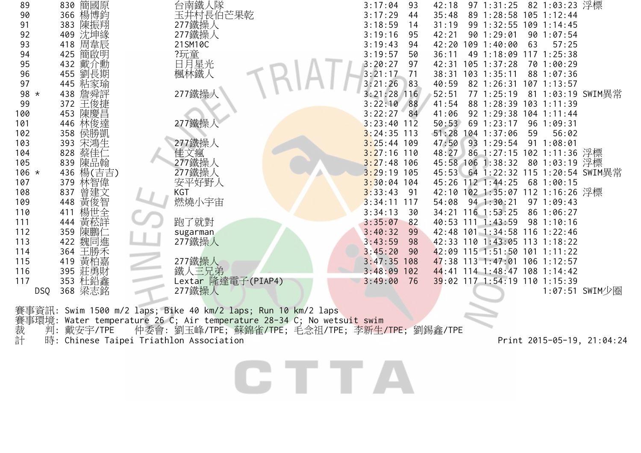| 89      | 830 簡國原           | 台南鐵人隊              | 82 1:03:23 浮標<br>3:17:04<br>97 1:31:25<br>93<br>42:18     |
|---------|-------------------|--------------------|-----------------------------------------------------------|
| 90      | 366 楊博鈞           | 玉井村長伯芒果乾           | 3:17:29<br>89 1:28:58 105 1:12:44<br>35:48<br>44          |
| 91      | 陳振翔<br>383        | 277鐵操人             | 99 1:32:55<br>3:18:59<br>14<br>31:19<br>$109$ 1:14:45     |
| 92      | 沈坤緣<br>409        | 277鐵操人             | 90 1:29:01<br>3:19:16<br>42:21<br>90 1:07:54<br>95        |
| 93      | 418 周韋辰           | 21SM10C            | 3:19:43<br>42:20<br>109 1:40:00<br>57:25<br>94<br>63      |
| 94      | 425 簡啟明           | ?玩童                | 49 1:18:09<br>$117$ $1:25:38$<br>3:19:57<br>36:11<br>50   |
| 95      | 432 戴介勳           | 日月星光               | 3:20:27<br>$105$ 1:37:28<br>97<br>42:31<br>70 1:00:29     |
| 96      | 455 劉長期           | 楓林鐵人               | 3:21:17<br>71<br>38:31<br>103 1:35:11<br>88 1:07:36       |
| 97      | 445 粘家瑜           |                    | 3:21:26<br>83<br>40:59<br>82 1:26:31<br>$107$ 1:13:57     |
| 98 *    | 438 詹舜評           | 277鐵操人             | $3:21:28$ 116<br>52:51<br>77 1:25:19<br>81 1:03:19 SWIM異常 |
| 99      | 372 王俊捷           |                    | $3:22:10$ 88<br>41:54<br>88 1:28:39 103 1:11:39           |
| 100     | 陳慶昌<br>453        |                    | 3:22:27<br>84<br>92 1:29:38 104 1:11:44<br>41:06          |
| 101     | 446 林俊達           | 277鐵操              | $3:23:40$ 112<br>50:53<br>69 1:23:17<br>96 1:09:31        |
| 102     | 358 侯勝凱           |                    | $3:24:35$ 113<br>51:28<br>104 1:37:06<br>56:02<br>59      |
| 103     | 宋鴻生<br>393        | 277鐵操人             | 47:50<br>93 1:29:54<br>$3:25:44$ 109<br>91 1:08:01        |
| 104     | 蔡佳仁<br>828        | 佳文瘋                | 48:27 86 1:27:15 102 1:11:36 浮標<br>$3:27:16$ 110          |
| 105     | 陳品翰<br>839        | 277鐵操人             | $3:27:48$ 106<br>45:58 106 1:38:32<br>80 1:03:19 浮標       |
| $106 *$ | 436 楊(吉吉)         | 277鐵操人             | $3:29:19$ 105<br>45:53 64 1:22:32 115 1:20:54 SWIM異常      |
| 107     | 379 林智偉           | 安平好野人              | $3:30:04$ 104<br>45:26 112 1:44:25<br>68 1:00:15          |
| 108     | 837               | KGT                | 42:10 102 1:35:07 112 1:16:26 浮標<br>$3:33:43$ 91          |
| 109     | 曾建文<br>黄俊智<br>448 | 燃燒小宇宙              | $3:34:11$ 117<br>54:08 94 1:30:21<br>971:09:43            |
| 110     | 楊世全<br>411        |                    | 34:21 116 1:53:25<br>3:34:13<br>86 1:06:27<br>30          |
| 111     | 黃菘詳<br>444        | 跑了就對               | 3:35:07<br>40:53 111 1:43:59<br>98 1:10:16<br>82          |
| 112     | 陳鵬仁<br>359        | sugarman           | 3:40:32<br>42:48 101 1:34:58 116 1:22:46<br>99            |
| 113     | 422 魏同進           | 277鐵操人             | 3:43:59<br>42:33 110 1:43:05 113 1:18:22<br>98            |
| 114     | 王勝禾<br>364        |                    | 42:09 115 1:51:50 101 1:11:22<br>3:45:20<br>90            |
| 115     | 黃柏嘉<br>419        | 277鐵操人             | $3:47:35$ 108<br>47:38 113 1:47:01 106 1:12:57            |
| 116     | 莊勇財<br>395        | 鐵人三兄弟              | $3:48:09$ 102<br>44:41 114 1:48:47 108 1:14:42            |
| 117     | 353 杜鉛鑫           | Lextar 隆達電子(PIAP4) | 39:02 117 1:54:19 110 1:15:39<br>3:49:00<br>76            |
| DSQ     | 梁志銘<br>368        | 277鐵操人             | 1:07:51 SWIM少圈                                            |
|         |                   |                    |                                                           |

CTTA

賽事資訊: Swim 1500 m/2 laps; Bike 40 km/2 laps; Run 10 km/2 laps 賽事環境: Water temperature 26 C; Air temperature 28-34 C; No wetsu<mark>it s</mark>wim 裁 判: 戴安宇/TPE 仲委會: 劉玉峰/TPE; 蘇錦雀/TPE; 毛念祖/TPE; 李新生/TPE; 劉錫鑫/TPE 計 時: Chinese Taipei Triathlon Association Print 2015-05-19, 21:04:24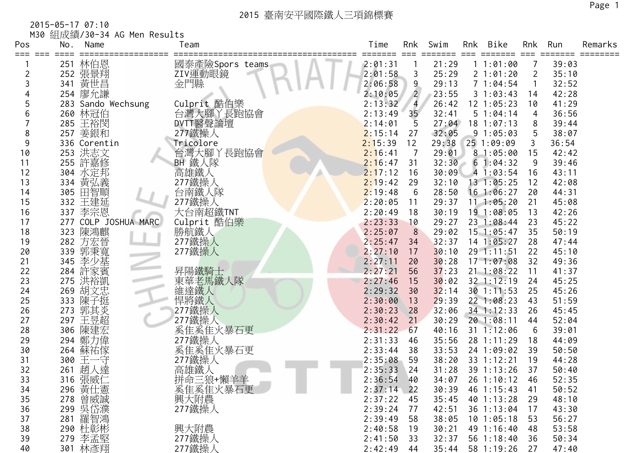2015-05-17 07:10 M30 組成績/30-34 AG Men Results

| Pos      | No. | Name                 | Team                          | Time               | Rnk             | Swim           | Rnk | Bike                       | Rnk            | Run            | Remarks |
|----------|-----|----------------------|-------------------------------|--------------------|-----------------|----------------|-----|----------------------------|----------------|----------------|---------|
|          | 251 | 林伯恩                  | 國泰產險Spors teams               | 2:01:31            |                 | 21:29          |     | 11:01:00                   |                | 39:03          |         |
| 2        | 252 | 張景翔                  | ZIV運動眼鏡                       | 2:01:58            | 3               | 25:29          |     | 2 1:01:20                  | $\overline{2}$ | 35:10          |         |
| 3        | 341 | 黃世昌                  | 金門縣                           | 2:06:58            | 9               | 29:13          |     | 71:04:54                   | $\mathbf{1}$   | 32:52          |         |
|          |     | 254 廖允謙              |                               | 2:10:05            | $\overline{2}$  | 23:55          |     | 31:03:43                   | 14             | 42:28          |         |
| 5        |     | 283 Sando Wechsung   | Culprit 酷伯樂                   | 2:13:32            | $\overline{4}$  | 26:42          |     | $12$ $1:05:23$             | 10             | 41:29          |         |
| 6        |     | 260 林冠伯              | 台灣大腳丫長跑協會                     | 2:13:49            | 35 <sub>1</sub> | 32:41          |     | 51:04:14                   | 4              | 36:56          |         |
|          |     | 285 王裕閔              | DVTT醫聲論壇                      | 2:14:01            | 5               | 27:04          |     | $18$ 1:07:13               | 8              | 39:44          |         |
| 8        |     | 257 姜銀和              | 277鐵操人                        | 2:15:14            | 27              | 32:05          |     | 91:05:03                   | 5              | 38:07          |         |
| 9        |     | 336 Corentin         | Tricolore                     | 2:15:39            | 12              | 29:38          |     | 25 1:09:09                 | 3              | 36:54          |         |
| 10       |     | 253 洪志文              | 台灣大腳丫長跑協會                     | 2:16:41            | 7               | 29:01          |     | 81:05:00                   | 15             | 42:42          |         |
| 11       |     | 255 許嘉修              | BH 鐵人隊                        | 2:16:47            | 31              | 32:30          |     | 61:04:32                   | -9             | 39:46          |         |
| 12       |     | 304 水定邦              | 高雄鐵人                          | 2:17:12            | 16              | 30:09          |     | 41:03:54                   | 16             | 43:11          |         |
| 13       |     | 334 黃弘義              | 277鐵操人                        | 2:19:42            | 29              | 32:10          |     | 13 1:05:25                 | 12             | 42:08          |         |
| 14       |     | 305 田智順              | 台南鐵人隊                         | 2:19:48            | 6               | 28:50          |     | 16 1:06:27                 | 20             | 44:31          |         |
| 15       |     | 332 王建延              | 277鐵操人                        | 2:20:05            | 11              | 29:37          |     | $11 \quad 1:05:20$         | 21             | 45:08          |         |
| 16       |     | 337 李宗恩              | 大台南超鐵TNT                      | 2:20:49            | 18              | 30:19          |     | 19 1:08:05                 | 13             | 42:26          |         |
| 17       |     | 277 COLP JOSHUA MARC | Culprit 酷伯樂                   | 2:23:33            | 10              | 29:27          |     | 23 1:08:44                 | 23             | 45:22          |         |
| 18       |     | 323 陳鴻麒              | 勝航鐵人                          | 2:25:07            | 8               | 29:02          |     | $15$ 1:05:47               | 35             | 50:19          |         |
| 19       | 282 | 方宏晉                  | 277鐵操人                        | 2:25:47            | 34              | 32:37          |     | 14 1:05:27                 | 28             | 47:44          |         |
| 20       | 339 | 郭秉寬                  | 277鐵操人                        | 2:27:10            | 17              | 30:10          |     | 29 1:11:51                 | 22             | 45:10          |         |
| 21       | 345 | 李少基                  |                               | 2:27:11            | 20              | 30:28          |     | 171:07:08                  | 32             | 49:36          |         |
| 22       | 284 | 許家賓                  | 昇陽鐵騎士                         | 2:27:21            | 56              | 37:23          |     | $21 \t1:08:22$             | 11             | 41:37          |         |
| 23       | 275 | 洪裕凱                  | 東華老馬鐵人隊                       | 2:27:46            | 15              | 30:02          |     | 32 1:12:19                 | 24             | 45:25          |         |
| 24       | 269 | 胡文忠                  | 維達鐵人                          | 2:29:32            | 30              | 32:14<br>29:39 |     | 30 1:11:53                 | 25<br>43       | 45:26          |         |
| 25<br>26 | 273 | 333 陳子挺<br>郭其炎       | 悍將鐵人                          | 2:30:00<br>2:30:23 | 13<br>28        | 32:06          |     | 22 1:08:23<br>$34$ 1:12:33 | 26             | 51:59<br>45:45 |         |
| 27       |     | 297 王昱超              | 277鐵操人<br>277鐵操人              | 2:30:42            | 21              | 30:29          |     | 20 1:08:11                 | 44             | 52:04          |         |
| 28       |     | 306 陳建宏              | 奚隹奚隹火暴石更                      | 2:31:22            | 67              | 40:16          |     | $31 \t1:12:06$             | 6              | 39:01          |         |
| 29       | 294 | 鄭力偉                  | 277鐵操人                        | 2:31:33            | 46              | 35:56          |     | 28 1:11:29                 | 18             | 44:09          |         |
| 30       | 264 | 蘇祐傢                  | 奚隹奚隹火暴石更                      | 2:33:44            | 38              | 33:53          |     | 24 1:09:02                 | 39             | 50:50          |         |
| 31       | 300 | 王一守                  | 277鐵操人                        | 2:35:08            | 59              | 38:20          |     | 33 1:12:21                 | 19             | 44:28          |         |
| 32       | 261 | 趙人達                  | 高雄鐵人                          | 2:35:33            | 24              | 31:28          |     | 39 1:13:26                 | 37             | 50:40          |         |
| 33       |     | 316 張威仁              |                               | 2:36:54            | 40              |                |     | 34:07 26 1:10:12           | 46             | 52:35          |         |
| 34       |     |                      |                               | $2:37:14$ 22       |                 | 30:39          |     | 46 1:15:43                 | 41             | 50:52          |         |
| 35       |     | 296 黃仕憲<br>278 曾威誠   | [拼命三狼+懶羊手]<br>奚隹奚隹火暴石更<br>興六, | 2:37:22            | 45              | 35:45          |     | 40 1:13:28                 | 29             | 48:10          |         |
| 36       |     | 299 吳岱濮              | 277鐵操人                        | 2:39:24            | 77              | 42:51          |     | 36 1:13:04                 | 17             | 43:30          |         |
| 37       |     | 281 羅智鴻              |                               | 2:39:49            | 58              | 38:05          |     | $10$ $1:05:18$             | 53             | 56:27          |         |
| 38       |     | 290 杜彰彬              | 興大附農                          | 2:40:58            | 19              | 30:21          |     | 49 1:16:40                 | 48             | 53:58          |         |
| 39       | 279 | 李孟堅                  | 277鐵操人                        | 2:41:50            | 33              | 32:37          |     | 56 1:18:40                 | 36             | 50:34          |         |
| 40       | 301 | 林彥翔                  | 277鐵操人                        | 2:42:49            | 44              | 35:44          |     | 58 1:19:26                 | 27             | 47:40          |         |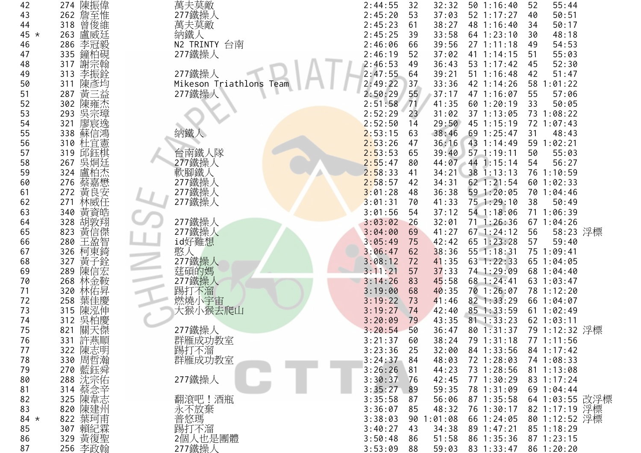| 42     | 274 陳振偉            | 萬夫莫敵                    | 2:44:55      | 32<br>32:32   | 501:16:40        | 55:44<br>52           |
|--------|--------------------|-------------------------|--------------|---------------|------------------|-----------------------|
| 43     | 262 詹至惟            | 277鐵操人                  | 2:45:20      | 53<br>37:03   | 52 1:17:27       | 50:51<br>40           |
| 44     | 曾俊維<br>318         | 萬夫莫敵                    | 2:45:23      | 61<br>38:27   | 48 1:16:40       | 50:17<br>34           |
| $45 *$ | 盧威廷<br>263         | 納鐵人                     | 2:45:25      | 33:58<br>39   | $64$ 1:23:10     | 48:18<br>30           |
| 46     | 286<br>李冠毅         | N2 TRINTY 台南            | 2:46:06      | 39:56<br>66   | 271:11:18        | 54:53<br>49           |
| 47     | 鐘柏硯<br>335         | 277鐵操人                  | 2:46:19      | 37:02<br>52   | 41 1:14:15       | 55:03<br>51           |
| 48     | 謝宗翰<br>317         |                         | 2:46:53      | 36:43<br>49   | 53 1:17:42       | 52:30<br>45           |
| 49     | 李振銓<br>313         | 277鐵操人                  | 2:47:55      | 64<br>39:21   | 51 1:16:48       | 51:47<br>42           |
| 50     | 陳彥均<br>311         | Mikeson Triathlons Team | 2:49:22      | 37<br>33:36   | 42 1:14:26       | 58 1:01:22            |
| 51     | 黃三益<br>287         | 277鐵操人                  | 2:50:29      | 55<br>37:17   | 47 1:16:07       | 57:06<br>55           |
| 52     | 陳雍杰<br>302         |                         | 2:51:58      | 71<br>41:35   | 60 1:20:19       | 50:05<br>33           |
| 53     | 吳宗璋<br>293         |                         | 2:52:29      | 23<br>31:02   | 37 1:13:05       | 73 1:08:22            |
| 54     | 廖宸逸<br>321         |                         | 2:52:50      | 29:50<br>14   | 45 1:15:19       | 72 1:07:43            |
| 55     | 蘇信鴻<br>338         | 納鐵                      | 2:53:15      | 38:46<br>63   | 69 1:25:47       | 48:43<br>31           |
| 56     | 310 杜宜憲            |                         | 2:53:26      | 36:16<br>47   | 43 1:14:49       | 59 1:02:21            |
| 57     | 319 邱鈺棋            | 台南鐵人隊                   | 2:53:53      | 65            | 39:40 57 1:19:11 | 55:03<br>50           |
| 58     | 吳烔廷<br>267         | 277鐵操人                  | 2:55:47      | 80            | 44:07 44 1:15:14 | 56:27<br>54           |
| 59     | 盧柏杰<br>324         | 軟腳鐵人                    | 2:58:33      | 41<br>34:21   | 38 1:13:13       | 76 1:10:59            |
| 60     | 蔡嘉懋<br>276         | 277鐵操人                  | 2:58:57      | 34:31<br>42   | 62 1:21:54       | 60 1:02:33            |
| 61     | 黃良安<br>272         | 277鐵操人                  | 3:01:28      | 36:38<br>48   | 59 1:20:05       | 70 1:04:46            |
| 62     | 林威任<br>271         | 277鐵操人                  | 3:01:31      | 41:33<br>70   | 75 1:29:10       | 50:49<br>38           |
| 63     | 黃資皓<br>340         |                         | 3:01:56      | 54<br>37:12   | 54 1:18:06       | 71 1:06:39            |
| 64     | 胡敦翔<br>328         | 277鐵操人                  | 3:03:02      | 32:01<br>26   | $71 \t1:26:36$   | 67 1:04:26            |
| 65     | 黃信傑<br>823         | 277鐵操人                  | 3:04:00      | 41:27<br>69   | $67$ 1:24:12     | 58:23 浮標<br>56        |
| 66     | 280 王盈智            | id好難想                   | 3:05:49      | 42:42<br>75   | 65 1:23:28       | 59:40<br>57           |
| 67     | 柯東錡<br>326         | 憨人                      | 3:06:47      | 38:36<br>62   | 55 1:18:31       | 75 1:09:41            |
| 68     | 黃子銓<br>327         | 277鐵操人                  | 3:08:12      | 41:35<br>72   | 63 1:22:33       | 65 1:04:05            |
| 69     | 陳信宏<br>289         | 莛碩的媽                    | 3:11:21      | 57<br>37:33   | 74 1:29:09       | 68 1:04:40            |
| 70     | 林金鞍<br>268         | 277鐵操人                  | 3:14:26      | 45:58<br>83   | 68 1:24:41       | 63 1:03:47            |
| 71     | 林佑昇<br>320         | 踢打不溜                    | 3:19:00      | 40:35<br>68   | 70 1:26:07       | 78 1:12:20            |
| 72     | 葉佳慶<br>258         | 燃燒小宇宙                   | 3:19:22      | 73<br>41:46   | 82 1:33:29       | 66 1:04:07            |
| 73     | 陳泓伸<br>315         | 大猴小猴去爬山                 | 3:19:27      | 74<br>42:40   | 85 1:33:59       | 61 1:02:49            |
| 74     | 吳柏慶<br>312         |                         | 3:20:09      | 79<br>43:35   | $81 \t1:33:23$   | 62 1:03:11            |
| 75     | 關天傑<br>821         | 277鐵操人                  | 3:20:54      | 50<br>36:47   | 80 1:31:37       | 79 1:12:32 浮標         |
| 76     | 331 許燕順            | 群雁成功教室<br>踢打不溜          | 3:21:37      | 60<br>38:24   |                  | 79 1:31:18 77 1:11:56 |
| 77     | 322 陳志明<br>330 周哲瀚 |                         | 3:23:36      | 32:00<br>25   | 84 1:33:56       | 84 1:17:42            |
| 78     |                    | 群雁成功教室                  | $3:24:37$ 84 | 48:03         | 72 1:28:03       | 74 1:08:33            |
| 79     | 270 藍鈺舜            |                         | 3:26:26      | 81<br>44:23   | 73 1:28:56       | 81 1:13:08            |
| 80     | 288 沈宗佑            | 277鐵操人                  | 3:30:37      | 42:45<br>76   | 77 1:30:29       | 83 1:17:24            |
| 81     | 314 蔡念辛            |                         | $3:35:27$ 89 | 59:35         | 78 1:31:09       | 69 1:04:44            |
| 82     | 325 陳韋志            | 翻滾吧!酒瓶                  | 3:35:58      | 87<br>56:06   | 87 1:35:58       | 64 1:03:55 改浮標        |
| 83     | 820 陳建州            | 永不放棄                    | 3:36:07      | 85<br>48:32   | 76 1:30:17       | 82 1:17:19 浮標         |
| $84 *$ | 822 葉珂甫            | 普悠瑪                     | 3:38:03      | 1:01:08<br>90 | 66 1:24:05       | 80 1:12:52 浮標         |
| 85     | 307 賴紀霖            | 踢打不溜                    | 3:40:27      | 43<br>34:38   | 89 1:47:21       | 85 1:18:29            |
| 86     | 329 黃復聖            | 2個人也是團體                 | 3:50:48      | 51:58<br>86   | 86 1:35:36       | $87 \t1:23:15$        |
| 87     | 256 李政翰            | 277鐵操人                  | 3:53:09      | 88<br>59:03   | 83 1:33:47       | 86 1:20:20            |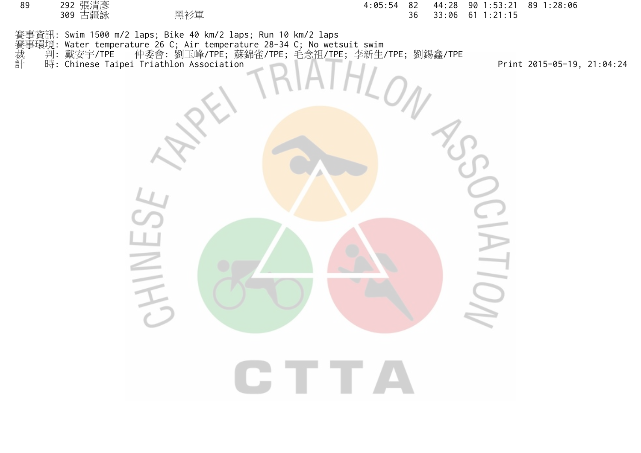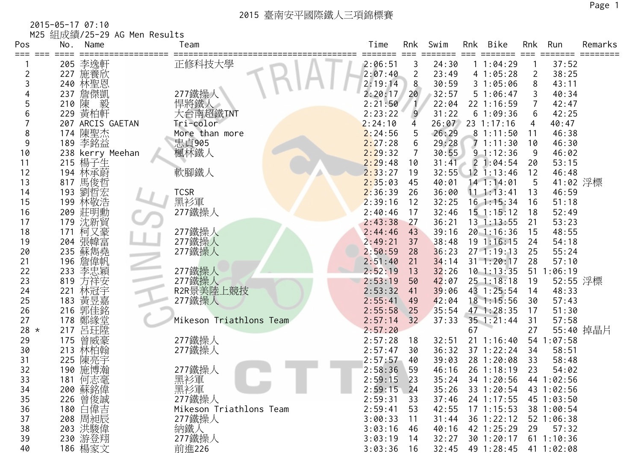2015-05-17 07:10 M25 組成績/25-29 AG Men Results

| Pos    | No. | Name               | Team                    | Time         | Rnk            | Swim  | Rnk    | Bike                        | Rnk            | Run            | Remarks   |
|--------|-----|--------------------|-------------------------|--------------|----------------|-------|--------|-----------------------------|----------------|----------------|-----------|
|        |     | 205 李逸軒            | 正修科技大學                  | 2:06:51      | 3              | 24:30 |        | 11:04:29                    |                | 37:52          |           |
|        | 227 | 施養欣                |                         | 2:07:40      | $\overline{2}$ | 23:49 |        | 41:05:28                    | $\overline{2}$ | 38:25          |           |
|        |     | 240 林聖恩            |                         | 2:19:14      | 8              | 30:59 |        | 31:05:06                    | 8              | 43:11          |           |
|        | 237 | 詹傑凱                | 277鐵操人                  | 2:20:17      | 20             | 32:57 |        | 51:06:47                    | 3              | 40:34          |           |
|        | 210 | 毅<br>陳             | 悍將鐵人                    | 2:21:50      |                | 22:04 |        | 22 1:16:59                  | 7              | 42:47          |           |
| 6      | 229 | 黃柏軒                | 大台南超鐵TNT                | 2:23:22      | 9              | 31:22 |        | 61:09:36                    | 6              | 42:25          |           |
|        |     | 207 ARCIS GAETAN   | Tri-color               | 2:24:10      | 4              | 26:07 |        | $23 \t1:17:16$              | 4              | 40:47          |           |
| 8      |     | 174 陳聖杰            | More than more          | 2:24:56      | 5              | 26:29 |        | 81:11:50                    | 11             | 46:38          |           |
| 9      |     | 189 李銘益            | 忠貞905                   | 2:27:28      | 6              | 29:28 |        | 71:11:30                    | 10             | 46:30          |           |
| 10     |     | 238 kerry Meehan   | 楓林鐵人                    | 2:29:32      | 7              | 30:55 |        | 91:12:36                    | 9              | 46:02          |           |
| 11     |     | 215 楊子生            |                         | 2:29:48      | 10             | 31:41 | $\sim$ | 21:04:54                    | 20             | 53:15          |           |
| 12     |     | 194 林承蔚            | 軟腳鐵人                    | 2:33:27      | 19             | 32:55 |        | $12$ 1:13:46                | 12             | 46:48          |           |
| 13     |     | 817 馬俊哲            |                         | 2:35:03      | 45             | 40:01 |        | 14 1:14:01                  | 5              | 41:02 浮標       |           |
| 14     | 193 | 劉哲宏                | <b>TCSR</b>             | 2:36:39      | 26             | 36:00 |        | $11 \t1:13:41$              | 13             | 46:59          |           |
| 15     | 199 | 林敬浩                | 黑衫軍                     | 2:39:16      | 12             | 32:25 |        | $16$ 1:15:34                | 16             | 51:18          |           |
| 16     |     | 209 莊明勳            | 277鐵操人                  | 2:40:46      | 17             | 32:46 |        | $15$ $1:15:12$              | 18             | 52:49          |           |
| 17     |     | 179 沈新貿            |                         | 2:43:38      | 27             | 36:21 |        | $13 \t1:13:55$              | 21             | 53:23          |           |
| 18     | 171 | 柯又豪                | 277鐵操人                  | 2:44:46      | 43             | 39:16 |        | 20 1:16:36                  | 15             | 48:55          |           |
| 19     | 204 | 張幃富                | 277鐵操人                  | 2:49:21      | 37             | 38:48 |        | 19 1:16:15                  | 24             | 54:18          |           |
| 20     | 235 | 蘇雋堯                | 277鐵操人                  | 2:50:59      | 28             | 36:23 |        | $27 - 1:19:13$              | 25             | 55:24          |           |
| 21     |     | 196 詹偉帆            |                         | 2:51:40      | 21             | 34:14 |        | $31 \t1:20:17$              | 28             | 57:10          |           |
| 22     | 233 | 李忠穎                | 277鐵操人                  | 2:52:19      | 13             | 32:26 |        | $10$ 1:13:35                | 51             | 1:06:19        |           |
| 23     | 819 | 方祥安                |                         | 2:53:19      | 50             | 42:07 |        | $25$ 1:18:18                | 19             | 52:55 浮標       |           |
| 24     | 221 | 林冠宇                | 277鐵操人<br>R2R景美陸上競技     | 2:53:32      | 41             | 39:06 |        | 43 1:25:54                  | 14             | 48:33          |           |
| 25     | 183 | 黃昱嘉                | 277鐵操人                  | 2:55:41      | 49             | 42:04 |        | $18$ 1:15:56                | 30             | 57:43          |           |
| 26     | 216 | 郭佳銘                |                         | 2:55:58      | 25             | 35:54 |        | 47 1:28:35                  | 17             | 51:30          |           |
| 27     |     | 178 鄭緣堂            | Mikeson Triathlons Team | 2:57:14      | 32             | 37:33 |        | 35 1:21:44                  | 31             | 57:58          |           |
| $28 *$ | 217 | 呂玨陞                |                         | 2:57:20      |                |       | 67     |                             | 27             |                | 55:40 掉晶片 |
| 29     | 175 | 曾威豪                | 277鐵操人                  | 2:57:28      | 18             | 32:51 |        | $21 \t1:16:40$              |                | 54 1:07:58     |           |
| 30     | 213 | 林柏翰                | 277鐵操人                  | 2:57:47      | 30             | 36:32 |        | 37 1:22:24                  | 34             | 58:51          |           |
| 31     | 225 | 陳亮宇                |                         | 2:57:57      | 40             | 39:03 |        | 28 1:20:08                  | 33             | 58:48          |           |
| 32     |     | 190 施博瀚            | 277鐵操人                  | 2:58:36      | 59             | 46:16 |        | 26 1:18:19                  | 23             | 54:02          |           |
| 33     |     | 181 何志毫            | 黑衫軍                     | 2:59:15      | 23             | 35:24 |        | 34 1:20:56                  |                | 44 1:02:56     |           |
| 34     |     | 200 蘇銘偉            |                         | $2:59:15$ 24 |                | 35:26 |        | 33 1:20:54                  |                | 43 1:02:56     |           |
| 35     |     |                    | 277鐵操人                  | 2:59:31      | 33             | 37:46 |        | 24 1:17:55                  |                | 45 1:03:50     |           |
| 36     |     | 226 曾俊誠<br>180 白偉吉 | Mikeson Triathlons Team | 2:59:41      | 53             | 42:55 |        | $17$ 1:15:53                |                | 38 1:00:54     |           |
| 37     |     | 208 周昶辰            | 277鐵操人                  | 3:00:33      | 11             | 31:44 |        | 36 1:22:12                  |                | $52$ 1:06:38   |           |
| 38     |     | 203 洪駿偉            | 納鐵人                     | 3:03:16      | 46             | 40:16 |        | 42 1:25:29                  | 29             | 57:32          |           |
| 39     |     | 230 游登翔            | 277鐵操人                  | 3:03:19      | 14             | 32:27 |        | 30 1:20:17                  |                | $61 \t1:10:36$ |           |
| 40     |     | 186 楊家文            | 前進226                   | 3:03:36      | 16             |       |        | 32:45 49 1:28:45 41 1:02:08 |                |                |           |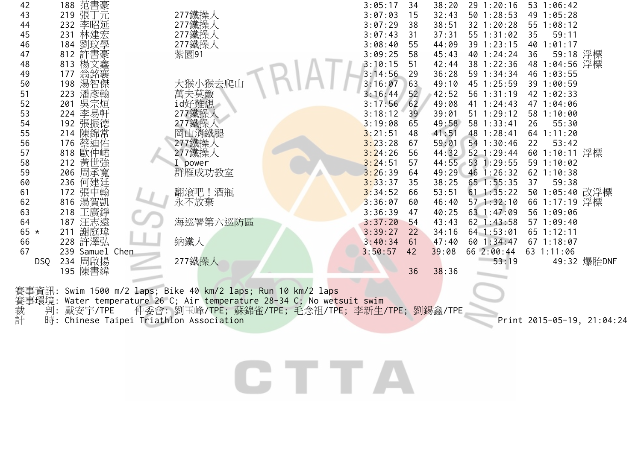| 42         | 188 范書豪               |                 | 3:05:17 | 34<br>38:20 | 291:20:16    | 53 1:06:42     |
|------------|-----------------------|-----------------|---------|-------------|--------------|----------------|
| 43         | 張丁元<br>219            | 277鐵操人          | 3:07:03 | 32:43<br>15 | 50 1:28:53   | 49 1:05:28     |
| 44         | 232 李昭延               | 277鐵操人          | 3:07:29 | 38<br>38:51 | 32 1:20:28   | 55 1:08:12     |
| 45         | 林建宏<br>231            | 277鐵操人          | 3:07:43 | 37:31<br>31 | 55 1:31:02   | 59:11<br>35    |
| 46         | 劉玟學<br>184            | 277鐵操人          | 3:08:40 | 55<br>44:09 | 39 1:23:15   | 40 1:01:17     |
| 47         | 許書豪<br>812            | 紫園91            | 3:09:25 | 58<br>45:43 | 40 1:24:24   | 59:18 浮標<br>36 |
| 48         | 楊文鑫<br>813            |                 | 3:10:15 | 51<br>42:44 | 38 1:22:36   | 48 1:04:56 浮標  |
| 49         | 翁銘襄<br>177            |                 | 3:14:56 | 36:28<br>29 | 59 1:34:34   | 46 1:03:55     |
| 50         | 湯智傑<br>198            | 大猴小猴去爬山         | 3:16:07 | 63<br>49:10 | 45 1:25:59   | 39 1:00:59     |
| 51         | 潘彦翰<br>223            | 萬夫莫敵            | 3:16:44 | 52<br>42:52 | 56 1:31:19   | 42 1:02:33     |
| 52         | 吳宗烜<br>201            | id好難想           | 3:17:56 | 62<br>49:08 | 41 1:24:43   | 47 1:04:06     |
| 53         | 李易軒<br>224            | 277鐵操           | 3:18:12 | 39<br>39:01 | 51 1:29:12   | 58 1:10:00     |
| 54         | 張振德<br>192            |                 | 3:19:08 | 49:58<br>65 | 58 1:33:41   | 55:30<br>26    |
| 55         | 陳錦常<br>214            | 277鐵操人<br>岡山消鐵腿 | 3:21:51 | 41:51<br>48 | 48 1:28:41   | 64 1:11:20     |
| 56         | 176 蔡迪佑               | 277鐵操人          | 3:23:28 | 59:01<br>67 | 54 1:30:46   | 22<br>53:42    |
| 57         | 818 歐仲峮               | 277鐵操人          | 3:24:26 | 56<br>44:32 | 52 1:29:44   | 60 1:10:11 浮標  |
| 58         | 212 黄世強               | power           | 3:24:51 | 57<br>44:55 | $53$ 1:29:55 | 59 1:10:02     |
| 59         | 206 周承寬               | 群雁成功教室          | 3:26:39 | 49:29<br>64 | $46$ 1:26:32 | 62 1:10:38     |
| 60         | 何建廷<br>236            |                 | 3:33:37 | 38:25<br>35 | 65 1:55:35   | 37<br>59:38    |
| 61         | 張中翰<br>172            | 翻滾吧!酒瓶          | 3:34:52 | 66<br>53:51 | $61$ 1:35:22 | 50 1:05:40 改浮標 |
| 62         | 湯賀凱<br>816            | 永不放棄            | 3:36:07 | 46:40<br>60 | 571:32:10    | 66 1:17:19 浮標  |
| 63         | 王廣錚<br>218            |                 | 3:36:39 | 40:25<br>47 | 63 1:47:09   | 56 1:09:06     |
| 64         | 187 汪志遠               | 海巡署第六巡防區        | 3:37:20 | 54<br>43:43 | $62$ 1:43:58 | 57 1:09:40     |
| 65 $*$     | 謝庭瑋<br>211            |                 | 3:39:27 | 34:16<br>22 | $64$ 1:53:01 | $65$ 1:12:11   |
| 66         | 許澤弘<br>228            | 納鐵人             | 3:40:34 | 47:40<br>61 | 60 1:34:47   | 67 1:18:07     |
| 67         | Samuel<br>Chen<br>239 |                 | 3:50:57 | 39:08<br>42 | 66 2:00:44   | 63 1:11:06     |
| <b>DSQ</b> | 周啟揚<br>234            | 277鐵操人          |         |             | 53:19        | 49:32 爆胎DNF    |
|            | 195 陳書緯               |                 |         | 36<br>38:36 |              |                |

賽事資訊: Swim 1500 m/2 laps; Bike 40 km/2 laps; Run 10 km/2 laps 賽事環境: Water temperature 26 C; Air temperature 28-34 C; No wetsuit swim 裁 判:戴安宇/TPE 仲委會: 劉玉峰/TPE; 蘇錦雀/TPE; 毛念祖/TPE; 李新生/TPE; 劉錫鑫/TPE 計 時: Chinese Taipei Triathlon Association Print 2015-05-19, 21:04:24

# CTTA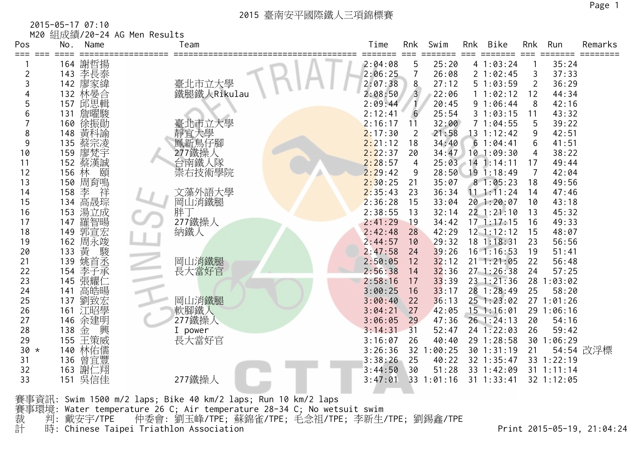| 2015-05-17 07:10 |  |
|------------------|--|
|------------------|--|

|  | M20 組成績/20-24 AG Men Results |  |  |  |
|--|------------------------------|--|--|--|
|--|------------------------------|--|--|--|

| Pos            | No.   | Name       | Team                    | Time    | Rnk             | Swim    | Rnk | Bike           | Rnk            | Run            | Remarks   |
|----------------|-------|------------|-------------------------|---------|-----------------|---------|-----|----------------|----------------|----------------|-----------|
| === ===        |       | 164 謝哲揚    |                         | 2:04:08 | 5               | 25:20   |     | 41:03:24       |                | 35:24          | ======    |
| $\overline{2}$ | 143   | 李長泰        |                         | 2:06:25 |                 | 26:08   |     | 21:02:45       | 3              | 37:33          |           |
| 3              |       | 142 廖家緯    |                         | 2:07:38 | 8               | 27:12   |     | 51:03:59       | $\overline{2}$ | 36:29          |           |
|                |       | 132 林晏合    | 臺北市立大學<br>鐵腿鐵人Rikulau   | 2:08:50 | $\overline{3}$  | 22:06   |     | 1 1:02:12      | 12             | 44:34          |           |
| 5              |       | 157 邱思輯    |                         | 2:09:44 |                 | 20:45   |     | 91:06:44       | 8              | 42:16          |           |
| 6              | 131   | 詹曜駿        |                         | 2:12:41 | $6\phantom{.}6$ | 25:54   |     | 31:03:15       | 11             | 43:32          |           |
|                | 160   | 徐振勛        | 臺北市立大學                  | 2:16:17 | 11              | 32:00   |     | 71:04:55       | 5              | 39:22          |           |
| 8              | 148   | 黃科諭        | 靜宜大學<br>鳳新鳥仔腳<br>277鐵操人 | 2:17:30 | 2               | 21:58   |     | 13 1:12:42     | 9              | 42:51          |           |
| 9              | 135   | 蔡宗凌        |                         | 2:21:12 | 18              | 34:40   |     | 61:04:41       | 6              | 41:51          |           |
| 10             | 159   | 廖梵宇        |                         | 2:22:37 | 20              | 34:47   |     | $10$ 1:09:30   | 4              | 38:22          |           |
| 11             | 152   | 蔡漢誠        | 台南鐵人隊                   | 2:28:57 | $\overline{4}$  | 25:03   |     | $14$ 1:14:11   | 17             | 49:44          |           |
| 12             | 156 林 | 頤          | 崇右技術學院                  | 2:29:42 | 9               | 28:50   |     | 191:18:49      | 7              | 42:04          |           |
| 13             |       | 150 周育鳴    |                         | 2:30:25 | 21              | 35:07   |     | 81:05:23       | 18             | 49:56          |           |
| 14             | 158   | 李<br>祥     | 文藻外語大學                  | 2:35:43 | 23              | 36:34   |     | 11.1:11:24     | 14             | 47:46          |           |
| 15             | 134   | 高晟琮        | 岡山消鐵腿                   | 2:36:28 | 15              | 33:04   |     | 20 1:20:07     | 10             | 43:18          |           |
| 16             |       | 153 湯立成    | 胖丁                      | 2:38:55 | 13              | 32:14   |     | $22$ $1:21:10$ | 13             | 45:32          |           |
| 17             | 147   | 羅智暘        | 277鐵操人                  | 2:41:29 | 19              | 34:42   |     | $17 \t1:17:15$ | 16             | 49:33          |           |
| 18             | 149   | 郭宣宏        | 納鐵人                     | 2:42:48 | 28              | 42:29   |     | $12$ $1:12:12$ | 15             | 48:07          |           |
| 19             |       | 162 周永竣    |                         | 2:44:57 | 10              | 29:32   |     | 18 1:18:31     | 23             | 56:56          |           |
| 20             | 133   | 黃<br>駿     |                         | 2:47:58 | 24              | 39:26   |     | $16$ 1:16:53   | 19             | 51:41          |           |
| 21             | 139   | 姚首丞        | 岡山消鐵腿<br>長大當好官          | 2:50:05 | 12              | 32:12   |     | $21 \t1:21:05$ | 22             | 56:48          |           |
| 22             | 154   | 李子承        |                         | 2:56:38 | 14              | 32:36   |     | 271:26:38      | 24             | 57:25          |           |
| 23             | 145   | 張耀仁        |                         | 2:58:16 | 17              | 33:39   |     | $23 - 1:21:36$ |                | 28 1:03:02     |           |
| 24             | 141   | 高皓暘        |                         | 3:00:25 | 16              | 33:17   |     | 28 1:28:49     | 25             | 58:20          |           |
| 25             | 137   | 劉致宏        | 岡山消鐵腿<br>軟腳鐵人           | 3:00:40 | 22              | 36:13   |     | 25 1:23:02     |                | 27 1:01:26     |           |
| 26             | 161   | 江昭學        |                         | 3:04:21 | 27              | 42:05   |     | $15$ 1:16:01   |                | 29 1:06:16     |           |
| 27             |       | 146 余建明    | 277鐵操人                  | 3:06:05 | 29              | 47:36   |     | $26$ 1:24:13   | 20             | 54:16          |           |
| 28             | 138   | 金 興<br>王策威 | I power                 | 3:14:31 | 31              | 52:47   |     | 24 1:22:03     | 26             | 59:42          |           |
| 29             | 155   |            | 長大當好官                   | 3:16:07 | 26              | 40:40   |     | 29 1:28:58     |                | 30 1:06:29     |           |
| $30 *$         |       | 140 林佑儒    |                         | 3:26:36 | 32 <sup>2</sup> | :00:25  |     | 30 1:31:19     | 21             |                | 54:54 改浮標 |
| 31             | 136   | 曾宜豐        |                         | 3:38:26 | 25              | 40:22   |     | 32 1:35:47     |                | 33 1:22:19     |           |
| 32             | 163   | 謝仁翔        |                         | 3:44:50 | 30              | 51:28   |     | 33 1:42:09     |                | $31$ $1:11:14$ |           |
| 33             | 151   | 吳信佳        | 277鐵操人                  | 3:47:01 | 33              | 1:01:16 |     | $31$ $1:33:41$ |                | 32 1:12:05     |           |
|                |       |            |                         |         |                 |         |     |                |                |                |           |

賽事資訊: Swim 1500 m/2 laps; Bike 40 km/2 laps; Run 10 km/2 laps 賽事環境: Water temperature 26 C; Air temperature 28-34 C; No wetsuit swim 裁 判: 戴安宇/TPE 仲委會: 劉玉峰/TPE; 蘇錦雀/TPE; 毛念祖/TPE; 李新生/TPE; 劉錫鑫/TPE 計 時: Chinese Taipei Triathlon Association Print 2015-05-19, 21:04:24